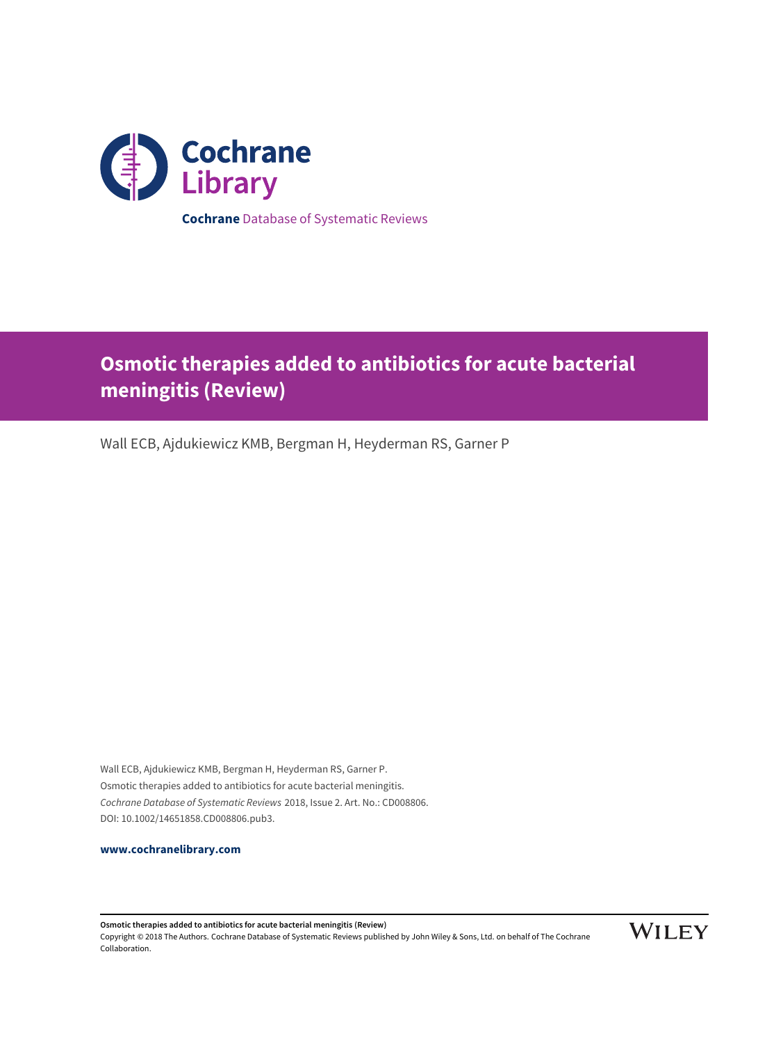

# **Osmotic therapies added to antibiotics for acute bacterial meningitis (Review)**

Wall ECB, Ajdukiewicz KMB, Bergman H, Heyderman RS, Garner P

Wall ECB, Ajdukiewicz KMB, Bergman H, Heyderman RS, Garner P. Osmotic therapies added to antibiotics for acute bacterial meningitis. Cochrane Database of Systematic Reviews 2018, Issue 2. Art. No.: CD008806. DOI: 10.1002/14651858.CD008806.pub3.

**[www.cochranelibrary.com](http://www.cochranelibrary.com)**

**Osmotic therapies added to antibiotics for acute bacterial meningitis (Review)** Copyright © 2018 The Authors. Cochrane Database of Systematic Reviews published by John Wiley & Sons, Ltd. on behalf of The Cochrane Collaboration.

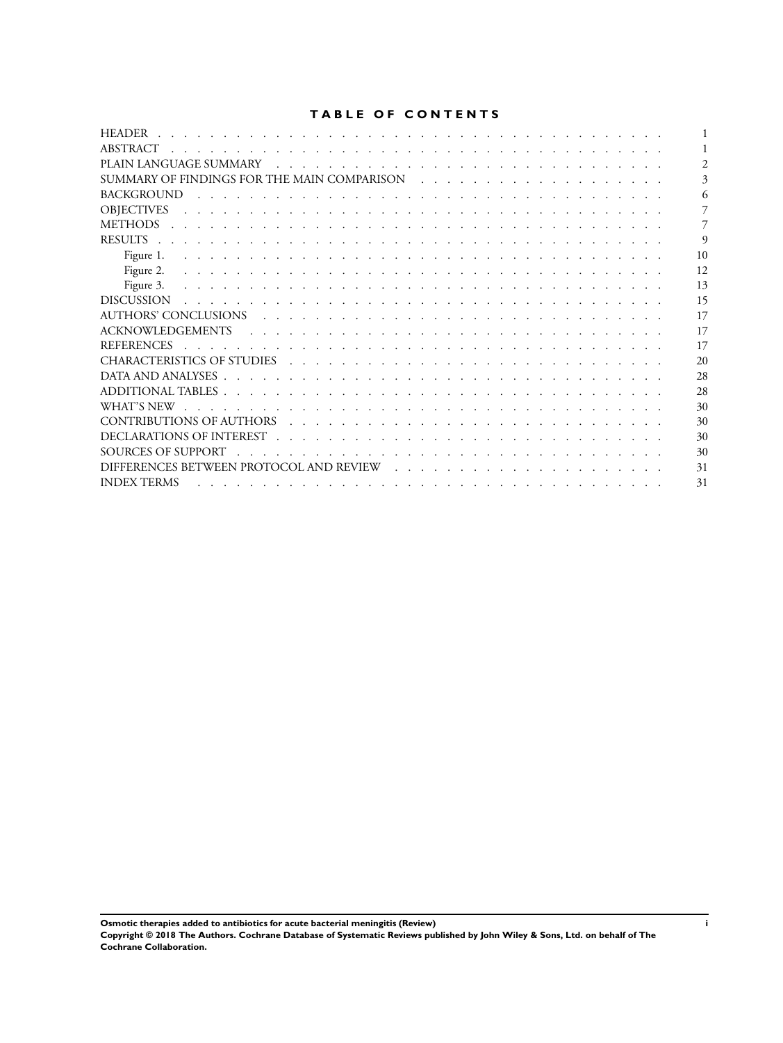# **TABLE OF CONTENTS**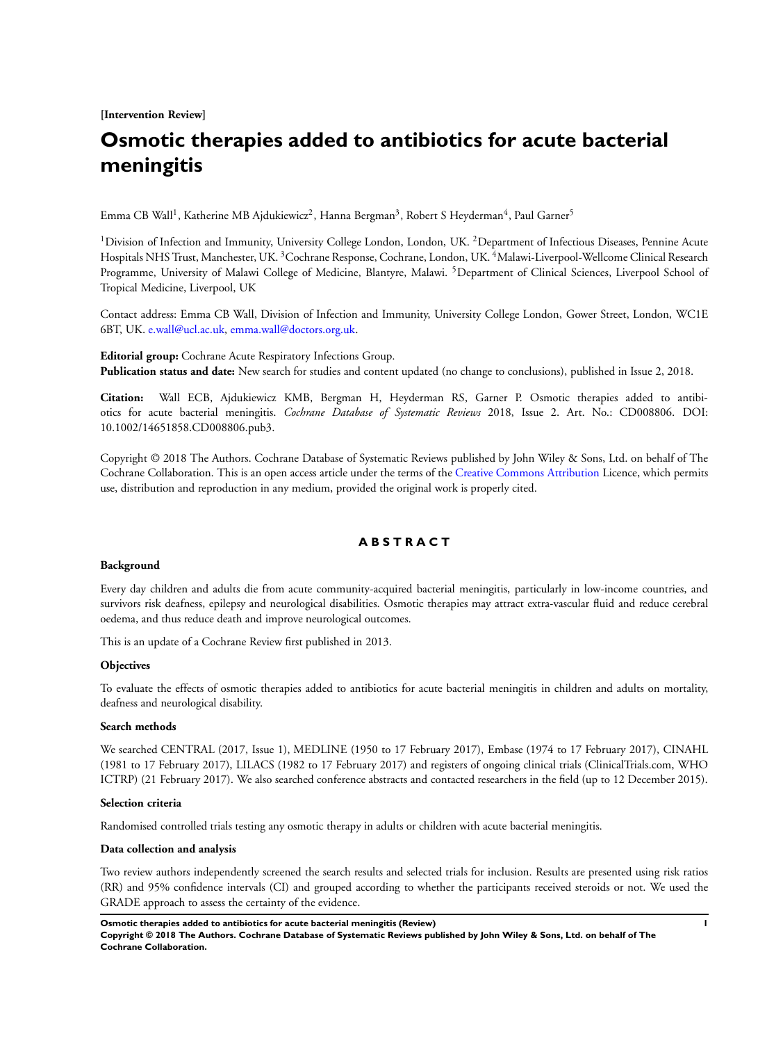**[Intervention Review]**

# **Osmotic therapies added to antibiotics for acute bacterial meningitis**

Emma CB Wall<sup>1</sup>, Katherine MB Ajdukiewicz<sup>2</sup>, Hanna Bergman<sup>3</sup>, Robert S Heyderman<sup>4</sup>, Paul Garner<sup>5</sup>

<sup>1</sup>Division of Infection and Immunity, University College London, London, UK. <sup>2</sup>Department of Infectious Diseases, Pennine Acute Hospitals NHS Trust, Manchester, UK. <sup>3</sup>Cochrane Response, Cochrane, London, UK. <sup>4</sup>Malawi-Liverpool-Wellcome Clinical Research Programme, University of Malawi College of Medicine, Blantyre, Malawi. <sup>5</sup>Department of Clinical Sciences, Liverpool School of Tropical Medicine, Liverpool, UK

Contact address: Emma CB Wall, Division of Infection and Immunity, University College London, Gower Street, London, WC1E 6BT, UK. [e.wall@ucl.ac.uk,](mailto:e.wall@ucl.ac.uk) [emma.wall@doctors.org.uk](mailto:emma.wall@doctors.org.uk).

**Editorial group:** Cochrane Acute Respiratory Infections Group. **Publication status and date:** New search for studies and content updated (no change to conclusions), published in Issue 2, 2018.

**Citation:** Wall ECB, Ajdukiewicz KMB, Bergman H, Heyderman RS, Garner P. Osmotic therapies added to antibiotics for acute bacterial meningitis. *Cochrane Database of Systematic Reviews* 2018, Issue 2. Art. No.: CD008806. DOI: 10.1002/14651858.CD008806.pub3.

Copyright © 2018 The Authors. Cochrane Database of Systematic Reviews published by John Wiley & Sons, Ltd. on behalf of The Cochrane Collaboration. This is an open access article under the terms of the [Creative Commons Attribution](http://creativecommons.org/licenses/by/4.0/) Licence, which permits use, distribution and reproduction in any medium, provided the original work is properly cited.

# **A B S T R A C T**

#### **Background**

Every day children and adults die from acute community-acquired bacterial meningitis, particularly in low-income countries, and survivors risk deafness, epilepsy and neurological disabilities. Osmotic therapies may attract extra-vascular fluid and reduce cerebral oedema, and thus reduce death and improve neurological outcomes.

This is an update of a Cochrane Review first published in 2013.

#### **Objectives**

To evaluate the effects of osmotic therapies added to antibiotics for acute bacterial meningitis in children and adults on mortality, deafness and neurological disability.

#### **Search methods**

We searched CENTRAL (2017, Issue 1), MEDLINE (1950 to 17 February 2017), Embase (1974 to 17 February 2017), CINAHL (1981 to 17 February 2017), LILACS (1982 to 17 February 2017) and registers of ongoing clinical trials (ClinicalTrials.com, WHO ICTRP) (21 February 2017). We also searched conference abstracts and contacted researchers in the field (up to 12 December 2015).

#### **Selection criteria**

Randomised controlled trials testing any osmotic therapy in adults or children with acute bacterial meningitis.

#### **Data collection and analysis**

Two review authors independently screened the search results and selected trials for inclusion. Results are presented using risk ratios (RR) and 95% confidence intervals (CI) and grouped according to whether the participants received steroids or not. We used the GRADE approach to assess the certainty of the evidence.

**Osmotic therapies added to antibiotics for acute bacterial meningitis (Review) 1**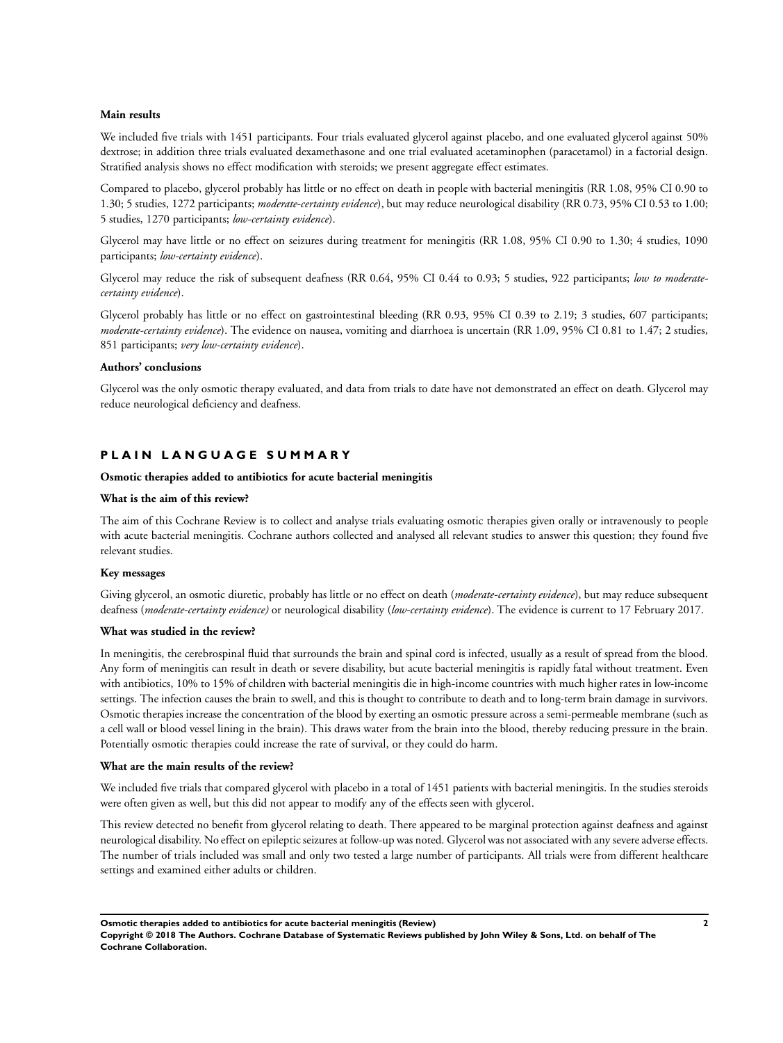# **Main results**

We included five trials with 1451 participants. Four trials evaluated glycerol against placebo, and one evaluated glycerol against 50% dextrose; in addition three trials evaluated dexamethasone and one trial evaluated acetaminophen (paracetamol) in a factorial design. Stratified analysis shows no effect modification with steroids; we present aggregate effect estimates.

Compared to placebo, glycerol probably has little or no effect on death in people with bacterial meningitis (RR 1.08, 95% CI 0.90 to 1.30; 5 studies, 1272 participants; *moderate-certainty evidence*), but may reduce neurological disability (RR 0.73, 95% CI 0.53 to 1.00; 5 studies, 1270 participants; *low-certainty evidence*).

Glycerol may have little or no effect on seizures during treatment for meningitis (RR 1.08, 95% CI 0.90 to 1.30; 4 studies, 1090 participants; *low-certainty evidence*).

Glycerol may reduce the risk of subsequent deafness (RR 0.64, 95% CI 0.44 to 0.93; 5 studies, 922 participants; *low to moderatecertainty evidence*).

Glycerol probably has little or no effect on gastrointestinal bleeding (RR 0.93, 95% CI 0.39 to 2.19; 3 studies, 607 participants; *moderate-certainty evidence*). The evidence on nausea, vomiting and diarrhoea is uncertain (RR 1.09, 95% CI 0.81 to 1.47; 2 studies, 851 participants; *very low-certainty evidence*).

### **Authors' conclusions**

Glycerol was the only osmotic therapy evaluated, and data from trials to date have not demonstrated an effect on death. Glycerol may reduce neurological deficiency and deafness.

# **P L A I N L A N G U A G E S U M M A R Y**

# **Osmotic therapies added to antibiotics for acute bacterial meningitis**

#### **What is the aim of this review?**

The aim of this Cochrane Review is to collect and analyse trials evaluating osmotic therapies given orally or intravenously to people with acute bacterial meningitis. Cochrane authors collected and analysed all relevant studies to answer this question; they found five relevant studies.

### **Key messages**

Giving glycerol, an osmotic diuretic, probably has little or no effect on death (*moderate-certainty evidence*), but may reduce subsequent deafness (*moderate-certainty evidence)* or neurological disability (*low-certainty evidence*). The evidence is current to 17 February 2017.

### **What was studied in the review?**

In meningitis, the cerebrospinal fluid that surrounds the brain and spinal cord is infected, usually as a result of spread from the blood. Any form of meningitis can result in death or severe disability, but acute bacterial meningitis is rapidly fatal without treatment. Even with antibiotics, 10% to 15% of children with bacterial meningitis die in high-income countries with much higher rates in low-income settings. The infection causes the brain to swell, and this is thought to contribute to death and to long-term brain damage in survivors. Osmotic therapies increase the concentration of the blood by exerting an osmotic pressure across a semi-permeable membrane (such as a cell wall or blood vessel lining in the brain). This draws water from the brain into the blood, thereby reducing pressure in the brain. Potentially osmotic therapies could increase the rate of survival, or they could do harm.

### **What are the main results of the review?**

We included five trials that compared glycerol with placebo in a total of 1451 patients with bacterial meningitis. In the studies steroids were often given as well, but this did not appear to modify any of the effects seen with glycerol.

This review detected no benefit from glycerol relating to death. There appeared to be marginal protection against deafness and against neurological disability. No effect on epileptic seizures at follow-up was noted. Glycerol was not associated with any severe adverse effects. The number of trials included was small and only two tested a large number of participants. All trials were from different healthcare settings and examined either adults or children.

**Osmotic therapies added to antibiotics for acute bacterial meningitis (Review) 2**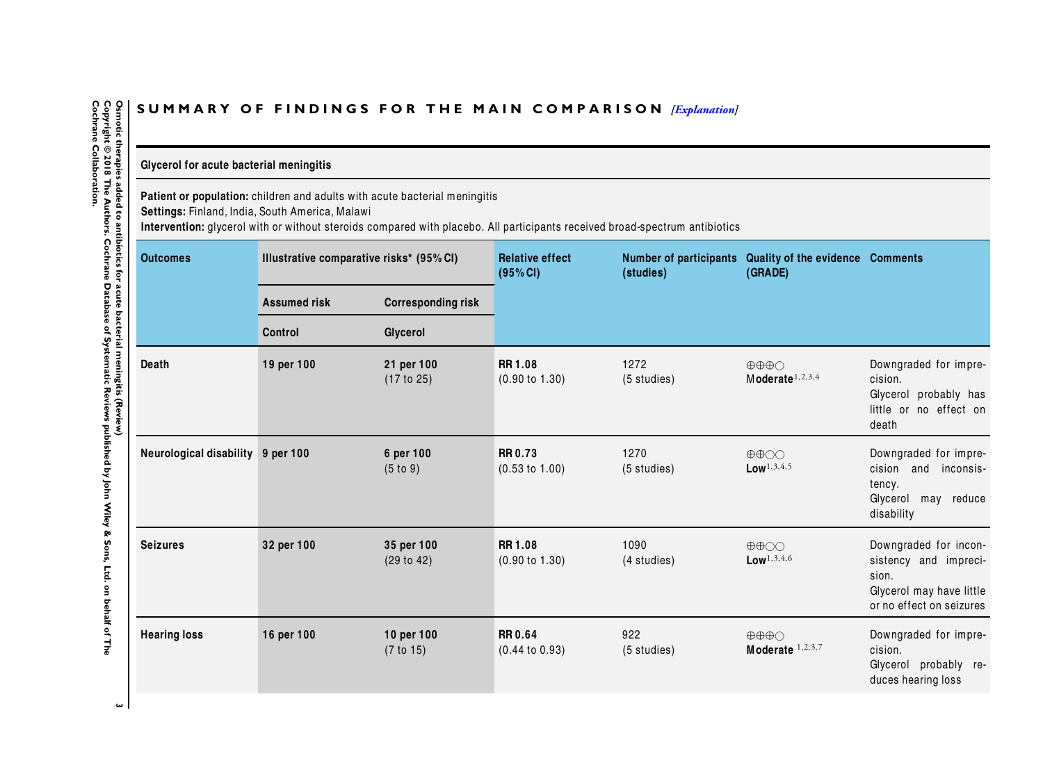# <span id="page-4-0"></span>SUMMARY OF FINDINGS FOR THE MAIN COMPARISON *[\[Explanation\]](http://www.thecochranelibrary.com/view/0/SummaryFindings.html)*

# **Glycerol for acute bacterial meningitis**

**Patient or population:** children and adults with acute bacterial meningitis

**Settings:** Finland, India, South America, Malawi

**Intervention:** glycerol with or without steroids compared with placebo. All participants received broad-spectrum antibiotics

| <b>Outcomes</b>                   |                     | Illustrative comparative risks* (95% CI) | <b>Relative effect</b><br>(95% CI)          | <b>Number of participants</b><br>(studies) | Quality of the evidence Comments<br>(GRADE)                 |                                                                                                                 |
|-----------------------------------|---------------------|------------------------------------------|---------------------------------------------|--------------------------------------------|-------------------------------------------------------------|-----------------------------------------------------------------------------------------------------------------|
|                                   | <b>Assumed risk</b> | <b>Corresponding risk</b>                |                                             |                                            |                                                             |                                                                                                                 |
|                                   | <b>Control</b>      | Glycerol                                 |                                             |                                            |                                                             |                                                                                                                 |
| Death                             | 19 per 100          | 21 per 100<br>(17 to 25)                 | RR 1.08<br>$(0.90 \text{ to } 1.30)$        | 1272<br>(5 studies)                        | $\oplus \oplus \oplus \bigcirc$<br>Moderate $1,2,3,4$       | Downgraded for impre-<br>cision.<br>Glycerol probably has<br>little or no effect on<br>death                    |
| Neurological disability 9 per 100 |                     | 6 per 100<br>(5 to 9)                    | <b>RR0.73</b><br>$(0.53 \text{ to } 1.00)$  | 1270<br>(5 studies)                        | $\oplus \oplus \bigcirc \bigcirc$<br>Low <sup>1,3,4,5</sup> | Downgraded for impre-<br>cision and inconsis-<br>tency.<br>Glycerol<br>may reduce<br>disability                 |
| <b>Seizures</b>                   | 32 per 100          | 35 per 100<br>(29 to 42)                 | RR 1.08<br>$(0.90 \text{ to } 1.30)$        | 1090<br>(4 studies)                        | $\oplus \oplus \odot \odot$<br>Low <sup>1,3,4,6</sup>       | Downgraded for incon-<br>sistency and impreci-<br>sion.<br>Glycerol may have little<br>or no effect on seizures |
| <b>Hearing loss</b>               | 16 per 100          | 10 per 100<br>(7 to 15)                  | <b>RR 0.64</b><br>$(0.44 \text{ to } 0.93)$ | 922<br>(5 studies)                         | $\oplus \oplus \oplus \bigcirc$<br>Moderate $1,2,3,7$       | Downgraded for impre-<br>cision.<br>Glycerol probably re-<br>duces hearing loss                                 |

 $\omega$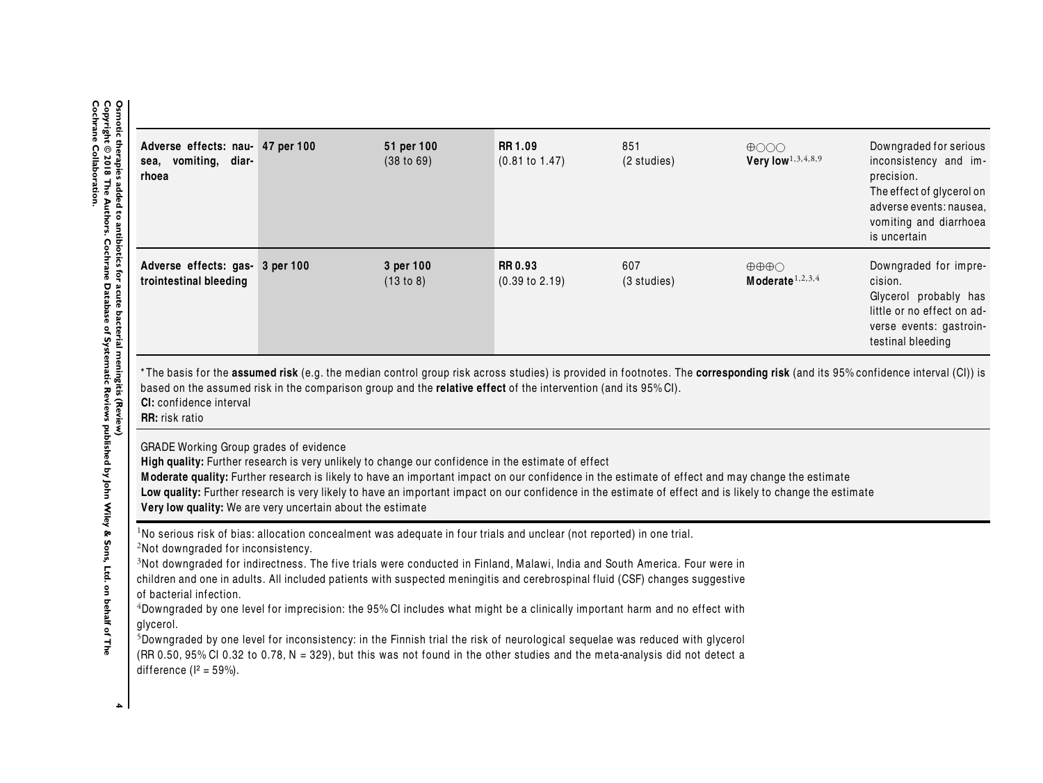| Adverse effects: nau- 47 per 100<br>sea, vomiting, diar-<br>rhoea                                                                                               |                                                | 51 per 100<br>(38 to 69)                                                                                                                                                                                             | RR 1.09<br>(0.81 to 1.47)                                                                                                              | 851<br>(2 studies) | $\bigoplus$<br>Very low <sup>1,3,4,8,9</sup>                                                                                                                                                                                                                                                                  | Downgraded for serious<br>inconsistency and im-<br>precision.<br>The effect of glycerol on<br>adverse events: nausea,<br>vomiting and diarrhoea<br>is uncertain |
|-----------------------------------------------------------------------------------------------------------------------------------------------------------------|------------------------------------------------|----------------------------------------------------------------------------------------------------------------------------------------------------------------------------------------------------------------------|----------------------------------------------------------------------------------------------------------------------------------------|--------------------|---------------------------------------------------------------------------------------------------------------------------------------------------------------------------------------------------------------------------------------------------------------------------------------------------------------|-----------------------------------------------------------------------------------------------------------------------------------------------------------------|
| Adverse effects: gas- 3 per 100<br>trointestinal bleeding                                                                                                       |                                                | 3 per 100<br>(13 to 8)                                                                                                                                                                                               | RR 0.93<br>$(0.39 \text{ to } 2.19)$                                                                                                   | 607<br>(3 studies) | $\oplus \oplus \oplus \cap$<br>Moderate $1,2,3,4$                                                                                                                                                                                                                                                             | Downgraded for impre-<br>cision.<br>Glycerol probably has<br>little or no effect on ad-<br>verse events: gastroin-<br>testinal bleeding                         |
| CI: confidence interval<br><b>RR:</b> risk ratio<br><b>GRADE Working Group grades of evidence</b><br>Very low quality: We are very uncertain about the estimate |                                                | based on the assumed risk in the comparison group and the relative effect of the intervention (and its 95%CI).<br>High quality: Further research is very unlikely to change our confidence in the estimate of effect |                                                                                                                                        |                    | Moderate quality: Further research is likely to have an important impact on our confidence in the estimate of effect and may change the estimate<br>Low quality: Further research is very likely to have an important impact on our confidence in the estimate of effect and is likely to change the estimate |                                                                                                                                                                 |
|                                                                                                                                                                 | <sup>2</sup> Not downgraded for inconsistency. | <sup>1</sup> No serious risk of bias: allocation concealment was adequate in four trials and unclear (not reported) in one trial.                                                                                    | <sup>3</sup> Not downgraded for indirectness. The five trials were conducted in Finland, Malawi, India and South America. Four were in |                    |                                                                                                                                                                                                                                                                                                               |                                                                                                                                                                 |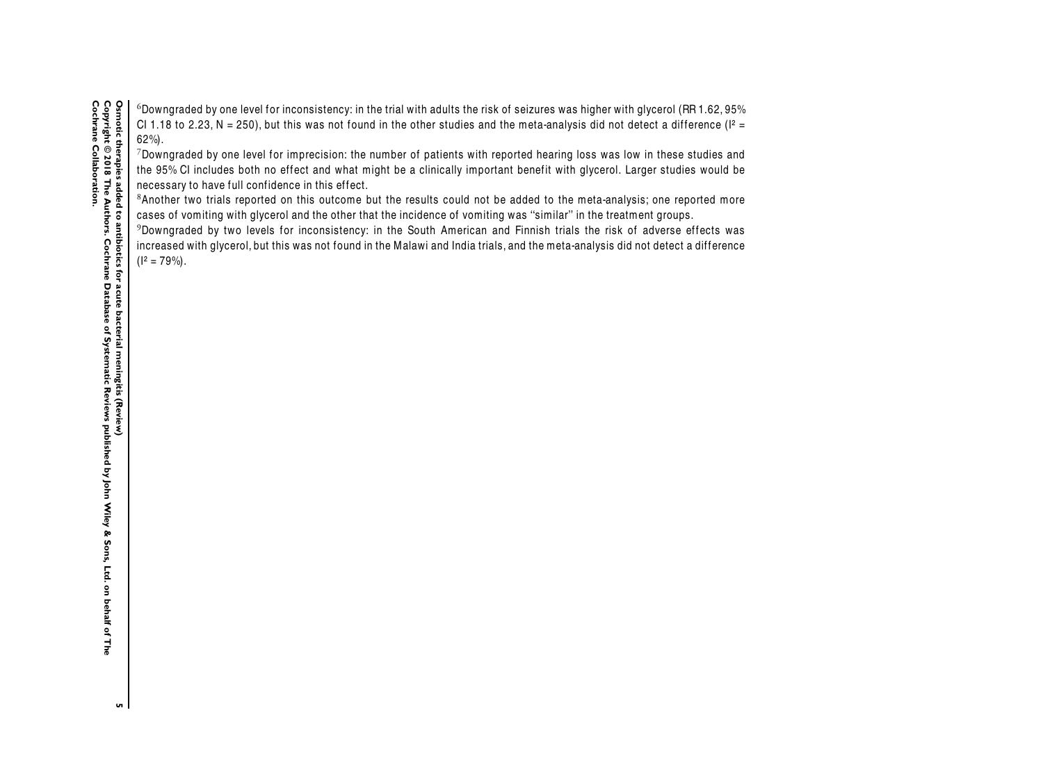$6$ Downgraded by one level for inconsistency: in the trial with adults the risk of seizures was higher with glycerol (RR 1.62, 95%) CI 1.18 to 2.23, N = 250), but this was not found in the other studies and the meta-analysis did not detect a difference (I<sup>2</sup> = 62%).

 $^7$ Downgraded by one level for imprecision: the number of patients with reported hearing loss was low in these studies and the 95% CI includes both no effect and what might be a clinically important benefit with glycerol. Larger studies would be necessary to have full confidence in this effect.

<sup>8</sup>Another two trials reported on this outcome but the results could not be added to the meta-analysis; one reported more cases of vomiting with glycerol and the other that the incidence of vomiting was "similar" in the treatment groups.

<sup>9</sup>Downgraded by two levels for inconsistency: in the South American and Finnish trials the risk of adverse effects was increased with glycerol, but this was not found in the Malawi and India trials, and the meta-analysis did not detect <sup>a</sup> difference  $(I^2 = 79\%).$ 

Osmotic therapies added to antibiotics for acute bacterial meningitis (Review)<br>Copyright © 2018 The Authors. Cochrane Database of Systematic Reviews published by John Wiley & Sons, Ltd. on behalf of The<br>Cochrane Collabora **Copyright © 2018 The Authors. Cochrane Database of Systematic Reviews published by John Wiley & Sons, Ltd. on behalf of The 5 Osmotic therapies added to antibiotics for acute bacterial meningitis (Review)**

**Cochrane Collaboration.**

G.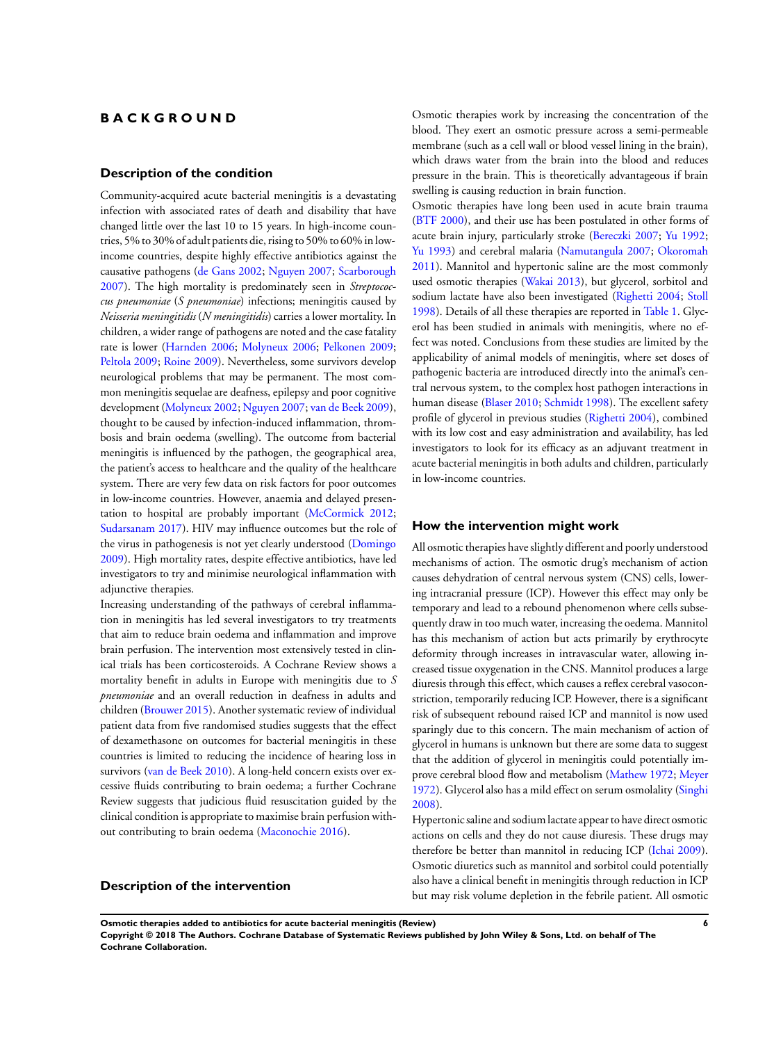# <span id="page-7-0"></span>**B A C K G R O U N D**

# **Description of the condition**

Community-acquired acute bacterial meningitis is a devastating infection with associated rates of death and disability that have changed little over the last 10 to 15 years. In high-income countries, 5% to 30% of adult patients die, rising to 50% to 60% in lowincome countries, despite highly effective antibiotics against the causative pathogens [\(de Gans 2002](#page-18-0); [Nguyen 2007](#page-18-0); [Scarborough](#page-18-0) [2007](#page-18-0)). The high mortality is predominately seen in *Streptococcus pneumoniae* (*S pneumoniae*) infections; meningitis caused by *Neisseria meningitidis* (*N meningitidis*) carries a lower mortality. In children, a wider range of pathogens are noted and the case fatality rate is lower ([Harnden 2006](#page-18-0); [Molyneux 2006](#page-18-0); [Pelkonen 2009;](#page-18-0) [Peltola 2009;](#page-18-0) [Roine 2009](#page-18-0)). Nevertheless, some survivors develop neurological problems that may be permanent. The most common meningitis sequelae are deafness, epilepsy and poor cognitive development ([Molyneux 2002;](#page-18-0) [Nguyen 2007;](#page-18-0) [van de Beek 2009](#page-18-0)), thought to be caused by infection-induced inflammation, thrombosis and brain oedema (swelling). The outcome from bacterial meningitis is influenced by the pathogen, the geographical area, the patient's access to healthcare and the quality of the healthcare system. There are very few data on risk factors for poor outcomes in low-income countries. However, anaemia and delayed presentation to hospital are probably important [\(McCormick 2012;](#page-18-0) [Sudarsanam 2017](#page-18-0)). HIV may influence outcomes but the role of the virus in pathogenesis is not yet clearly understood [\(Domingo](#page-18-0) [2009](#page-18-0)). High mortality rates, despite effective antibiotics, have led investigators to try and minimise neurological inflammation with adjunctive therapies.

Increasing understanding of the pathways of cerebral inflammation in meningitis has led several investigators to try treatments that aim to reduce brain oedema and inflammation and improve brain perfusion. The intervention most extensively tested in clinical trials has been corticosteroids. A Cochrane Review shows a mortality benefit in adults in Europe with meningitis due to *S pneumoniae* and an overall reduction in deafness in adults and children [\(Brouwer 2015\)](#page-18-0). Another systematic review of individual patient data from five randomised studies suggests that the effect of dexamethasone on outcomes for bacterial meningitis in these countries is limited to reducing the incidence of hearing loss in survivors [\(van de Beek 2010\)](#page-18-0). A long-held concern exists over excessive fluids contributing to brain oedema; a further Cochrane Review suggests that judicious fluid resuscitation guided by the clinical condition is appropriate to maximise brain perfusion without contributing to brain oedema ([Maconochie 2016](#page-18-0)).

#### **Description of the intervention**

Osmotic therapies work by increasing the concentration of the blood. They exert an osmotic pressure across a semi-permeable membrane (such as a cell wall or blood vessel lining in the brain), which draws water from the brain into the blood and reduces pressure in the brain. This is theoretically advantageous if brain swelling is causing reduction in brain function.

Osmotic therapies have long been used in acute brain trauma [\(BTF 2000\)](#page-18-0), and their use has been postulated in other forms of acute brain injury, particularly stroke [\(Bereczki 2007;](#page-18-0) [Yu 1992;](#page-18-0) [Yu 1993](#page-18-0)) and cerebral malaria [\(Namutangula 2007;](#page-18-0) [Okoromah](#page-18-0) [2011](#page-18-0)). Mannitol and hypertonic saline are the most commonly used osmotic therapies ([Wakai 2013](#page-18-0)), but glycerol, sorbitol and sodium lactate have also been investigated [\(Righetti 2004](#page-18-0); [Stoll](#page-18-0) [1998](#page-18-0)). Details of all these therapies are reported in [Table 1.](#page-29-0) Glycerol has been studied in animals with meningitis, where no effect was noted. Conclusions from these studies are limited by the applicability of animal models of meningitis, where set doses of pathogenic bacteria are introduced directly into the animal's central nervous system, to the complex host pathogen interactions in human disease ([Blaser 2010](#page-18-0); [Schmidt 1998](#page-18-0)). The excellent safety profile of glycerol in previous studies [\(Righetti 2004\)](#page-18-0), combined with its low cost and easy administration and availability, has led investigators to look for its efficacy as an adjuvant treatment in acute bacterial meningitis in both adults and children, particularly in low-income countries.

# **How the intervention might work**

All osmotic therapies have slightly different and poorly understood mechanisms of action. The osmotic drug's mechanism of action causes dehydration of central nervous system (CNS) cells, lowering intracranial pressure (ICP). However this effect may only be temporary and lead to a rebound phenomenon where cells subsequently draw in too much water, increasing the oedema. Mannitol has this mechanism of action but acts primarily by erythrocyte deformity through increases in intravascular water, allowing increased tissue oxygenation in the CNS. Mannitol produces a large diuresis through this effect, which causes a reflex cerebral vasoconstriction, temporarily reducing ICP. However, there is a significant risk of subsequent rebound raised ICP and mannitol is now used sparingly due to this concern. The main mechanism of action of glycerol in humans is unknown but there are some data to suggest that the addition of glycerol in meningitis could potentially improve cerebral blood flow and metabolism [\(Mathew 1972;](#page-18-0) [Meyer](#page-18-0) [1972](#page-18-0)). Glycerol also has a mild effect on serum osmolality ([Singhi](#page-18-0) [2008](#page-18-0)).

Hypertonic saline and sodium lactate appear to have direct osmotic actions on cells and they do not cause diuresis. These drugs may therefore be better than mannitol in reducing ICP [\(Ichai 2009](#page-18-0)). Osmotic diuretics such as mannitol and sorbitol could potentially also have a clinical benefit in meningitis through reduction in ICP but may risk volume depletion in the febrile patient. All osmotic

**Osmotic therapies added to antibiotics for acute bacterial meningitis (Review) 6**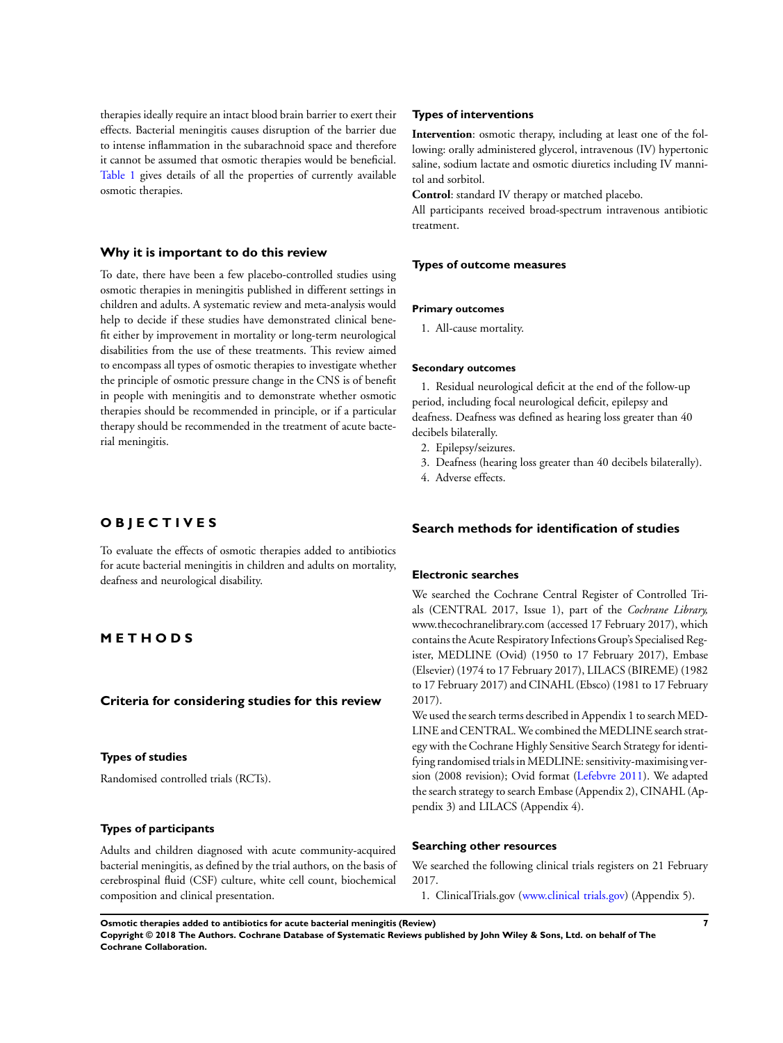therapies ideally require an intact blood brain barrier to exert their effects. Bacterial meningitis causes disruption of the barrier due to intense inflammation in the subarachnoid space and therefore it cannot be assumed that osmotic therapies would be beneficial. [Table 1](#page-29-0) gives details of all the properties of currently available osmotic therapies.

### **Why it is important to do this review**

To date, there have been a few placebo-controlled studies using osmotic therapies in meningitis published in different settings in children and adults. A systematic review and meta-analysis would help to decide if these studies have demonstrated clinical benefit either by improvement in mortality or long-term neurological disabilities from the use of these treatments. This review aimed to encompass all types of osmotic therapies to investigate whether the principle of osmotic pressure change in the CNS is of benefit in people with meningitis and to demonstrate whether osmotic therapies should be recommended in principle, or if a particular therapy should be recommended in the treatment of acute bacterial meningitis.

# **O B J E C T I V E S**

To evaluate the effects of osmotic therapies added to antibiotics for acute bacterial meningitis in children and adults on mortality, deafness and neurological disability.

# **M E T H O D S**

### **Criteria for considering studies for this review**

#### **Types of studies**

Randomised controlled trials (RCTs).

## **Types of participants**

Adults and children diagnosed with acute community-acquired bacterial meningitis, as defined by the trial authors, on the basis of cerebrospinal fluid (CSF) culture, white cell count, biochemical composition and clinical presentation.

#### **Types of interventions**

**Intervention**: osmotic therapy, including at least one of the following: orally administered glycerol, intravenous (IV) hypertonic saline, sodium lactate and osmotic diuretics including IV mannitol and sorbitol.

**Control**: standard IV therapy or matched placebo.

All participants received broad-spectrum intravenous antibiotic treatment.

#### **Types of outcome measures**

#### **Primary outcomes**

1. All-cause mortality.

#### **Secondary outcomes**

1. Residual neurological deficit at the end of the follow-up period, including focal neurological deficit, epilepsy and deafness. Deafness was defined as hearing loss greater than 40 decibels bilaterally.

- 2. Epilepsy/seizures.
- 3. Deafness (hearing loss greater than 40 decibels bilaterally).
- 4. Adverse effects.

# **Search methods for identification of studies**

### **Electronic searches**

We searched the Cochrane Central Register of Controlled Trials (CENTRAL 2017, Issue 1), part of the *Cochrane Library,* www.thecochranelibrary.com (accessed 17 February 2017), which contains the Acute Respiratory Infections Group's Specialised Register, MEDLINE (Ovid) (1950 to 17 February 2017), Embase (Elsevier) (1974 to 17 February 2017), LILACS (BIREME) (1982 to 17 February 2017) and CINAHL (Ebsco) (1981 to 17 February 2017).

We used the search terms described in Appendix 1 to search MED-LINE and CENTRAL. We combined the MEDLINE search strategy with the Cochrane Highly Sensitive Search Strategy for identifying randomised trials in MEDLINE: sensitivity-maximising version (2008 revision); Ovid format [\(Lefebvre 2011\)](#page-18-0). We adapted the search strategy to search Embase (Appendix 2), CINAHL (Appendix 3) and LILACS (Appendix 4).

# **Searching other resources**

We searched the following clinical trials registers on 21 February 2017.

1. ClinicalTrials.gov ([www.clinical trials.gov\)](http://www.clinical trials.gov) (Appendix 5).

**Osmotic therapies added to antibiotics for acute bacterial meningitis (Review) 7**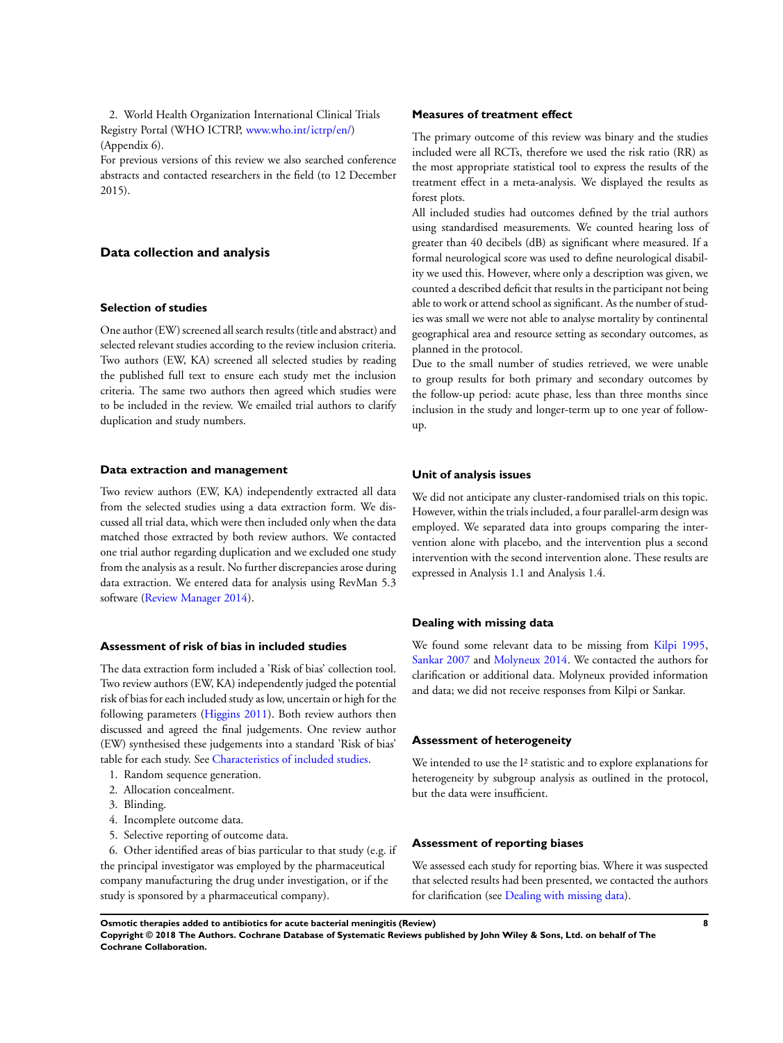2. World Health Organization International Clinical Trials Registry Portal (WHO ICTRP, [www.who.int/ictrp/en/\)](http://www.who.int/ictrp/en/) (Appendix 6).

For previous versions of this review we also searched conference abstracts and contacted researchers in the field (to 12 December 2015).

# **Data collection and analysis**

#### **Selection of studies**

One author (EW) screened all search results (title and abstract) and selected relevant studies according to the review inclusion criteria. Two authors (EW, KA) screened all selected studies by reading the published full text to ensure each study met the inclusion criteria. The same two authors then agreed which studies were to be included in the review. We emailed trial authors to clarify duplication and study numbers.

# **Data extraction and management**

Two review authors (EW, KA) independently extracted all data from the selected studies using a data extraction form. We discussed all trial data, which were then included only when the data matched those extracted by both review authors. We contacted one trial author regarding duplication and we excluded one study from the analysis as a result. No further discrepancies arose during data extraction. We entered data for analysis using RevMan 5.3 software [\(Review Manager 2014](#page-18-0)).

#### **Assessment of risk of bias in included studies**

The data extraction form included a 'Risk of bias' collection tool. Two review authors (EW, KA) independently judged the potential risk of bias for each included study as low, uncertain or high for the following parameters [\(Higgins 2011\)](#page-18-0). Both review authors then discussed and agreed the final judgements. One review author (EW) synthesised these judgements into a standard 'Risk of bias' table for each study. See [Characteristics of included studies.](#page-22-0)

- 1. Random sequence generation.
- 2. Allocation concealment.
- 3. Blinding.
- 4. Incomplete outcome data.
- 5. Selective reporting of outcome data.

6. Other identified areas of bias particular to that study (e.g. if the principal investigator was employed by the pharmaceutical company manufacturing the drug under investigation, or if the study is sponsored by a pharmaceutical company).

#### **Measures of treatment effect**

The primary outcome of this review was binary and the studies included were all RCTs, therefore we used the risk ratio (RR) as the most appropriate statistical tool to express the results of the treatment effect in a meta-analysis. We displayed the results as forest plots.

All included studies had outcomes defined by the trial authors using standardised measurements. We counted hearing loss of greater than 40 decibels (dB) as significant where measured. If a formal neurological score was used to define neurological disability we used this. However, where only a description was given, we counted a described deficit that results in the participant not being able to work or attend school as significant. As the number of studies was small we were not able to analyse mortality by continental geographical area and resource setting as secondary outcomes, as planned in the protocol.

Due to the small number of studies retrieved, we were unable to group results for both primary and secondary outcomes by the follow-up period: acute phase, less than three months since inclusion in the study and longer-term up to one year of followup.

# **Unit of analysis issues**

We did not anticipate any cluster-randomised trials on this topic. However, within the trials included, a four parallel-arm design was employed. We separated data into groups comparing the intervention alone with placebo, and the intervention plus a second intervention with the second intervention alone. These results are expressed in Analysis 1.1 and Analysis 1.4.

#### **Dealing with missing data**

We found some relevant data to be missing from [Kilpi 1995,](#page-18-0) [Sankar 2007](#page-18-0) and [Molyneux 2014](#page-18-0). We contacted the authors for clarification or additional data. Molyneux provided information and data; we did not receive responses from Kilpi or Sankar.

#### **Assessment of heterogeneity**

We intended to use the I<sup>2</sup> statistic and to explore explanations for heterogeneity by subgroup analysis as outlined in the protocol, but the data were insufficient.

### **Assessment of reporting biases**

We assessed each study for reporting bias. Where it was suspected that selected results had been presented, we contacted the authors for clarification (see [Dealing with missing data](#page-7-0)).

**Osmotic therapies added to antibiotics for acute bacterial meningitis (Review) 8**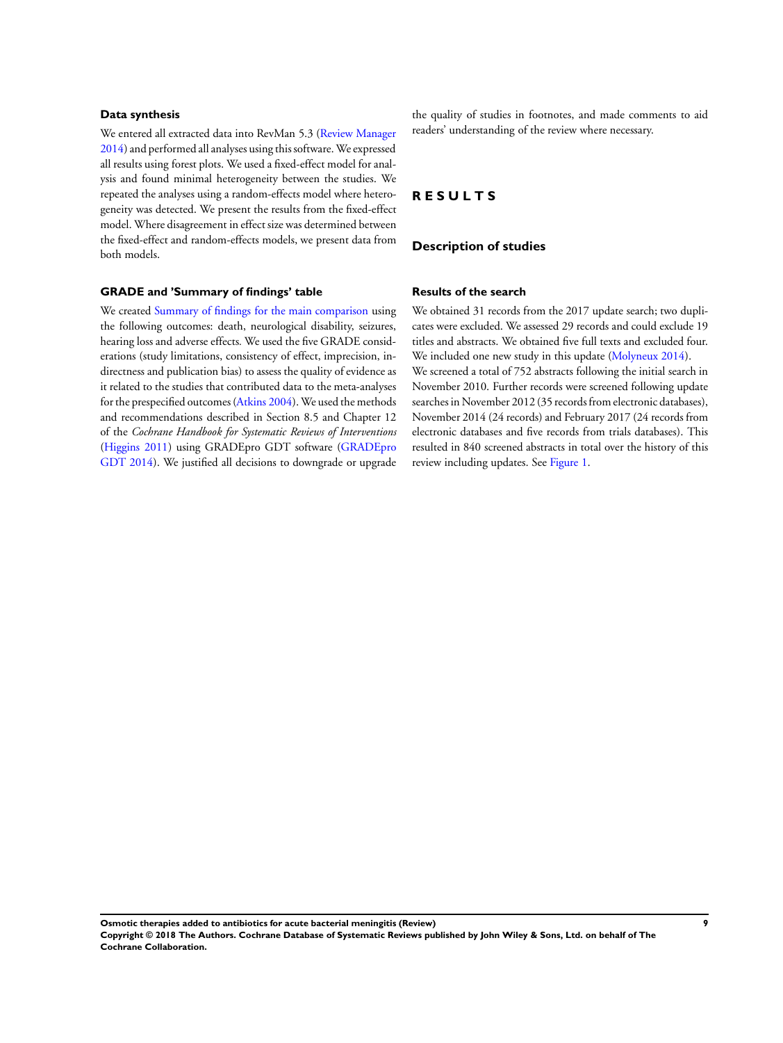# **Data synthesis**

We entered all extracted data into RevMan 5.3 [\(Review Manager](#page-18-0) [2014](#page-18-0)) and performed all analyses using this software. We expressed all results using forest plots. We used a fixed-effect model for analysis and found minimal heterogeneity between the studies. We repeated the analyses using a random-effects model where heterogeneity was detected. We present the results from the fixed-effect model. Where disagreement in effect size was determined between the fixed-effect and random-effects models, we present data from both models.

## **GRADE and 'Summary of findings' table**

We created [Summary of findings for the main comparison](#page-4-0) using the following outcomes: death, neurological disability, seizures, hearing loss and adverse effects*.* We used the five GRADE considerations (study limitations, consistency of effect, imprecision, indirectness and publication bias) to assess the quality of evidence as it related to the studies that contributed data to the meta-analyses for the prespecified outcomes ([Atkins 2004](#page-18-0)). We used the methods and recommendations described in Section 8.5 and Chapter 12 of the *Cochrane Handbook for Systematic Reviews of Interventions* [\(Higgins 2011\)](#page-18-0) using GRADEpro GDT software [\(GRADEpro](#page-18-0) [GDT 2014](#page-18-0)). We justified all decisions to downgrade or upgrade the quality of studies in footnotes, and made comments to aid readers' understanding of the review where necessary.

# **R E S U L T S**

#### **Description of studies**

#### **Results of the search**

We obtained 31 records from the 2017 update search; two duplicates were excluded. We assessed 29 records and could exclude 19 titles and abstracts. We obtained five full texts and excluded four. We included one new study in this update ([Molyneux 2014](#page-18-0)). We screened a total of 752 abstracts following the initial search in November 2010. Further records were screened following update searches in November 2012 (35 records from electronic databases), November 2014 (24 records) and February 2017 (24 records from electronic databases and five records from trials databases). This resulted in 840 screened abstracts in total over the history of this review including updates. See [Figure 1](#page-11-0).

**Osmotic therapies added to antibiotics for acute bacterial meningitis (Review) 9 Copyright © 2018 The Authors. Cochrane Database of Systematic Reviews published by John Wiley & Sons, Ltd. on behalf of The Cochrane Collaboration.**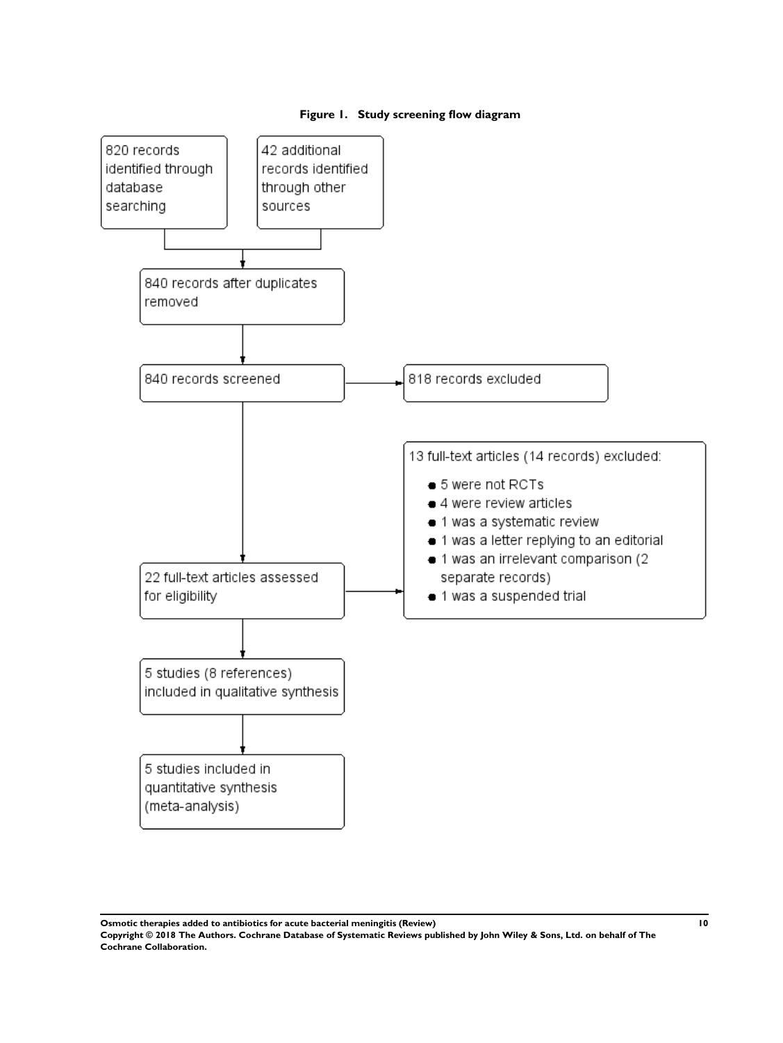<span id="page-11-0"></span>

**Figure 1. Study screening flow diagram**

**Osmotic therapies added to antibiotics for acute bacterial meningitis (Review) 10 Copyright © 2018 The Authors. Cochrane Database of Systematic Reviews published by John Wiley & Sons, Ltd. on behalf of The Cochrane Collaboration.**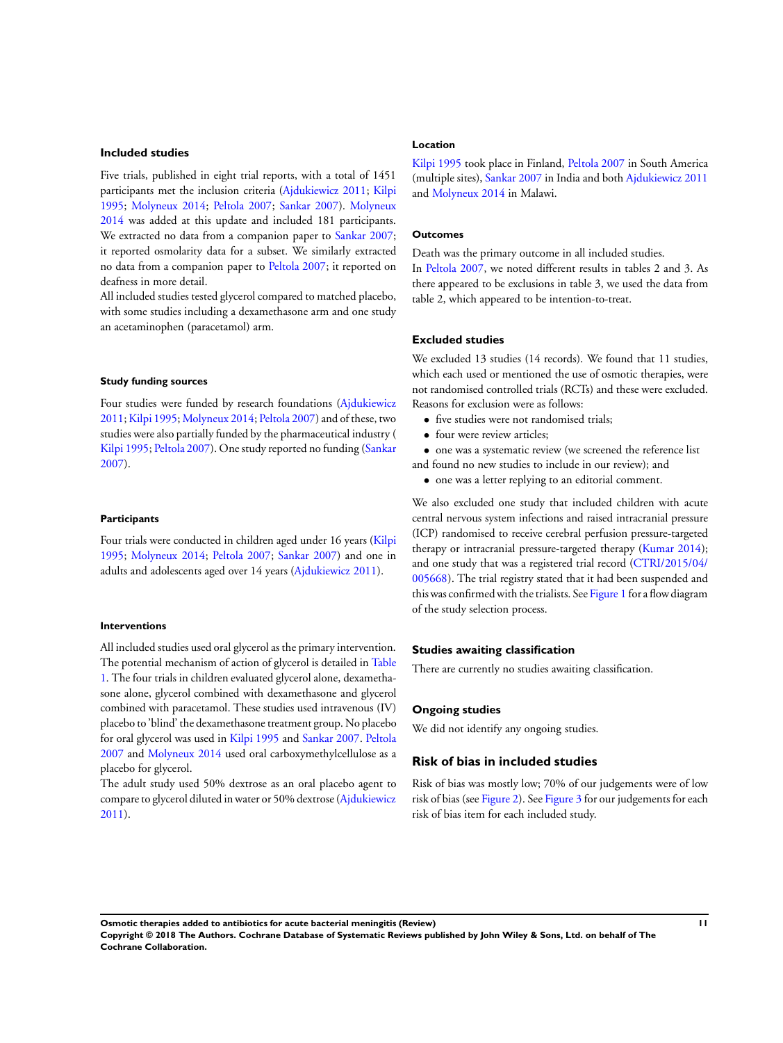## **Included studies**

Five trials, published in eight trial reports, with a total of 1451 participants met the inclusion criteria ([Ajdukiewicz 2011;](#page-18-0) [Kilpi](#page-18-0) [1995](#page-18-0); [Molyneux 2014](#page-18-0); [Peltola 2007;](#page-18-0) [Sankar 2007](#page-18-0)). [Molyneux](#page-18-0) [2014](#page-18-0) was added at this update and included 181 participants. We extracted no data from a companion paper to [Sankar 2007;](#page-18-0) it reported osmolarity data for a subset. We similarly extracted no data from a companion paper to [Peltola 2007;](#page-18-0) it reported on deafness in more detail.

All included studies tested glycerol compared to matched placebo, with some studies including a dexamethasone arm and one study an acetaminophen (paracetamol) arm.

#### **Study funding sources**

Four studies were funded by research foundations ([Ajdukiewicz](#page-18-0) [2011](#page-18-0);[Kilpi 1995;](#page-18-0) [Molyneux 2014](#page-18-0); [Peltola 2007\)](#page-18-0) and of these, two studies were also partially funded by the pharmaceutical industry ( [Kilpi 1995](#page-18-0); [Peltola 2007\)](#page-18-0). One study reported no funding ([Sankar](#page-18-0) [2007](#page-18-0)).

#### **Participants**

Four trials were conducted in children aged under 16 years ([Kilpi](#page-18-0) [1995](#page-18-0); [Molyneux 2014](#page-18-0); [Peltola 2007;](#page-18-0) [Sankar 2007](#page-18-0)) and one in adults and adolescents aged over 14 years ([Ajdukiewicz 2011\)](#page-18-0).

#### **Interventions**

All included studies used oral glycerol as the primary intervention. The potential mechanism of action of glycerol is detailed in [Table](#page-29-0) [1.](#page-29-0) The four trials in children evaluated glycerol alone, dexamethasone alone, glycerol combined with dexamethasone and glycerol combined with paracetamol. These studies used intravenous (IV) placebo to 'blind' the dexamethasone treatment group. No placebo for oral glycerol was used in [Kilpi 1995](#page-18-0) and [Sankar 2007](#page-18-0). [Peltola](#page-18-0) [2007](#page-18-0) and [Molyneux 2014](#page-18-0) used oral carboxymethylcellulose as a placebo for glycerol.

The adult study used 50% dextrose as an oral placebo agent to compare to glycerol diluted in water or 50% dextrose [\(Ajdukiewicz](#page-18-0) [2011](#page-18-0)).

#### **Location**

[Kilpi 1995](#page-18-0) took place in Finland, [Peltola 2007](#page-18-0) in South America (multiple sites), [Sankar 2007](#page-18-0) in India and both [Ajdukiewicz 2011](#page-18-0) and [Molyneux 2014](#page-18-0) in Malawi.

# **Outcomes**

Death was the primary outcome in all included studies.

In [Peltola 2007,](#page-18-0) we noted different results in tables 2 and 3. As there appeared to be exclusions in table 3, we used the data from table 2, which appeared to be intention-to-treat.

#### **Excluded studies**

We excluded 13 studies (14 records). We found that 11 studies, which each used or mentioned the use of osmotic therapies, were not randomised controlled trials (RCTs) and these were excluded. Reasons for exclusion were as follows:

- five studies were not randomised trials;
- four were review articles;

• one was a systematic review (we screened the reference list and found no new studies to include in our review); and

• one was a letter replying to an editorial comment.

We also excluded one study that included children with acute central nervous system infections and raised intracranial pressure (ICP) randomised to receive cerebral perfusion pressure-targeted therapy or intracranial pressure-targeted therapy [\(Kumar 2014](#page-18-0)); and one study that was a registered trial record [\(CTRI/2015/04/](#page-18-0) [005668](#page-18-0)). The trial registry stated that it had been suspended and this was confirmed with the trialists. See [Figure 1](#page-11-0) for a flow diagram of the study selection process.

# **Studies awaiting classification**

There are currently no studies awaiting classification.

#### **Ongoing studies**

We did not identify any ongoing studies.

#### **Risk of bias in included studies**

Risk of bias was mostly low; 70% of our judgements were of low risk of bias (see [Figure 2](#page-13-0)). See [Figure 3](#page-14-0) for our judgements for each risk of bias item for each included study.

**Osmotic therapies added to antibiotics for acute bacterial meningitis (Review) 11**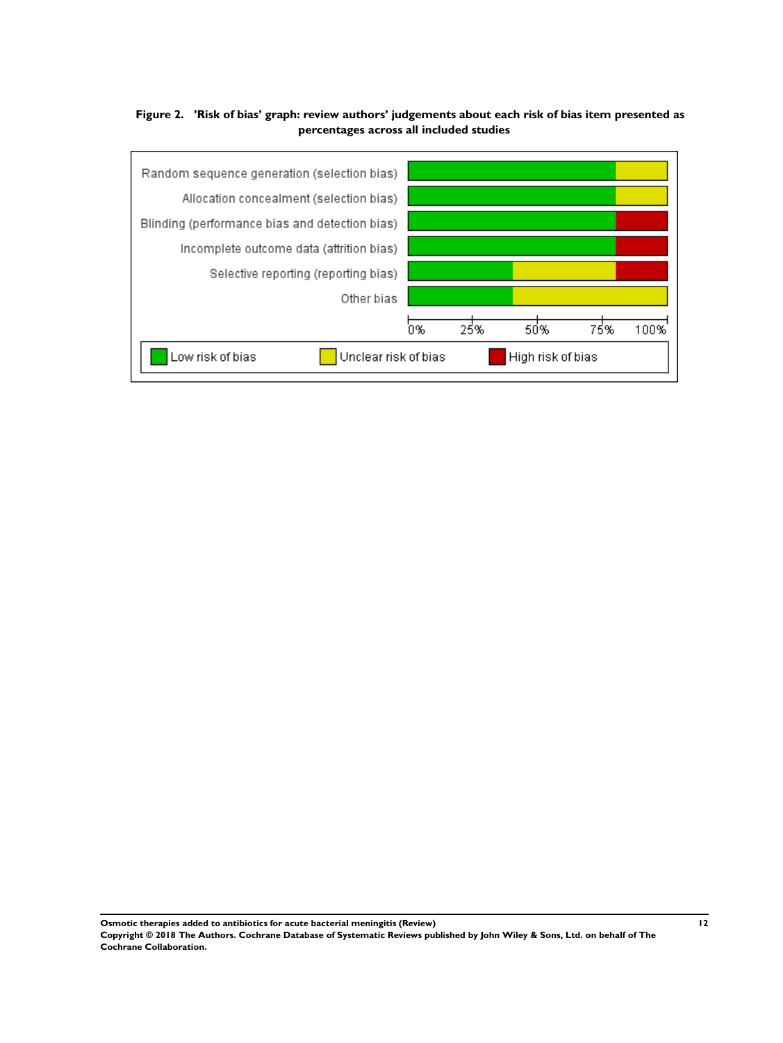# <span id="page-13-0"></span>**Figure 2. 'Risk of bias' graph: review authors' judgements about each risk of bias item presented as percentages across all included studies**



**Osmotic therapies added to antibiotics for acute bacterial meningitis (Review) 12 Copyright © 2018 The Authors. Cochrane Database of Systematic Reviews published by John Wiley & Sons, Ltd. on behalf of The Cochrane Collaboration.**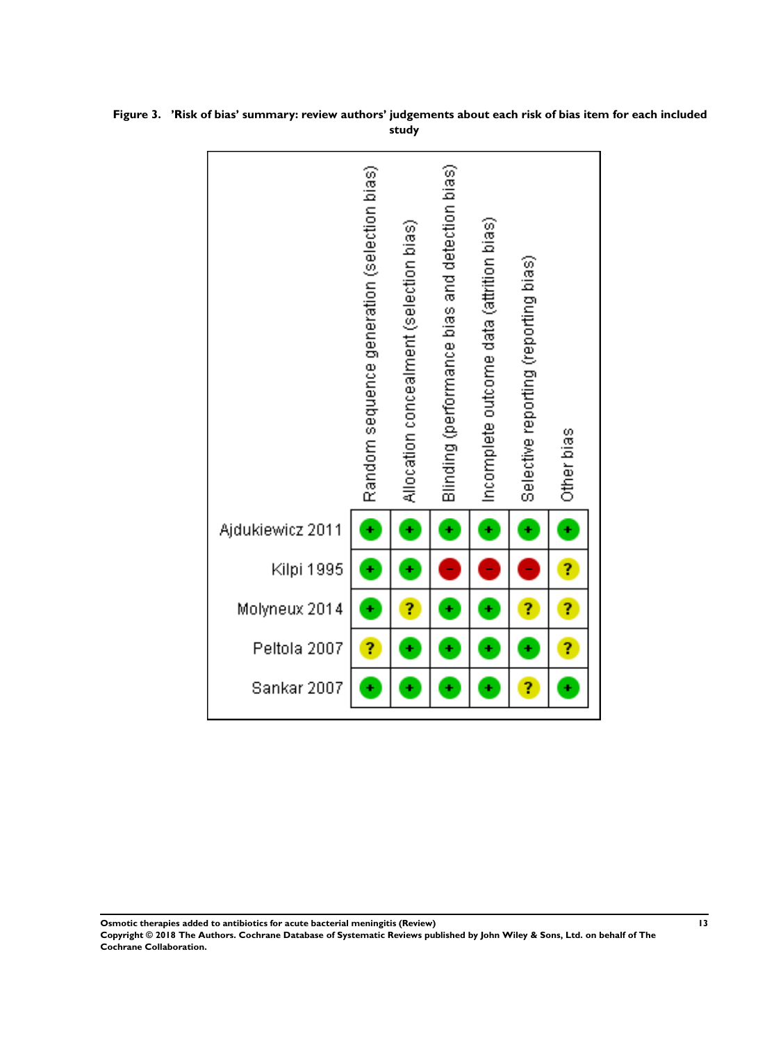|                  | Random sequence generation (selection bias) | Allocation concealment (selection bias) | Blinding (performance bias and detection bias) | Incomplete outcome data (attrition bias) | Selective reporting (reporting bias) | Other bias |
|------------------|---------------------------------------------|-----------------------------------------|------------------------------------------------|------------------------------------------|--------------------------------------|------------|
| Ajdukiewicz 2011 | ÷                                           | ÷                                       | ÷                                              | ¥                                        | ÷                                    | ÷          |
| Kilpi 1995       | ÷                                           | ÷                                       |                                                |                                          |                                      | ?          |
| Molyneux 2014    | ÷                                           | ?                                       | ÷                                              | ÷                                        | ?                                    | Ĩ,         |
| Peltola 2007     | Ĩ,                                          | ÷                                       | ÷                                              | ÷                                        | ÷                                    | Ĩ,         |
| Sankar 2007      | ÷                                           | ÷                                       | ÷                                              | ٠                                        | ?                                    | ÷          |

<span id="page-14-0"></span>**Figure 3. 'Risk of bias' summary: review authors' judgements about each risk of bias item for each included study**

**Osmotic therapies added to antibiotics for acute bacterial meningitis (Review) 13 Copyright © 2018 The Authors. Cochrane Database of Systematic Reviews published by John Wiley & Sons, Ltd. on behalf of The Cochrane Collaboration.**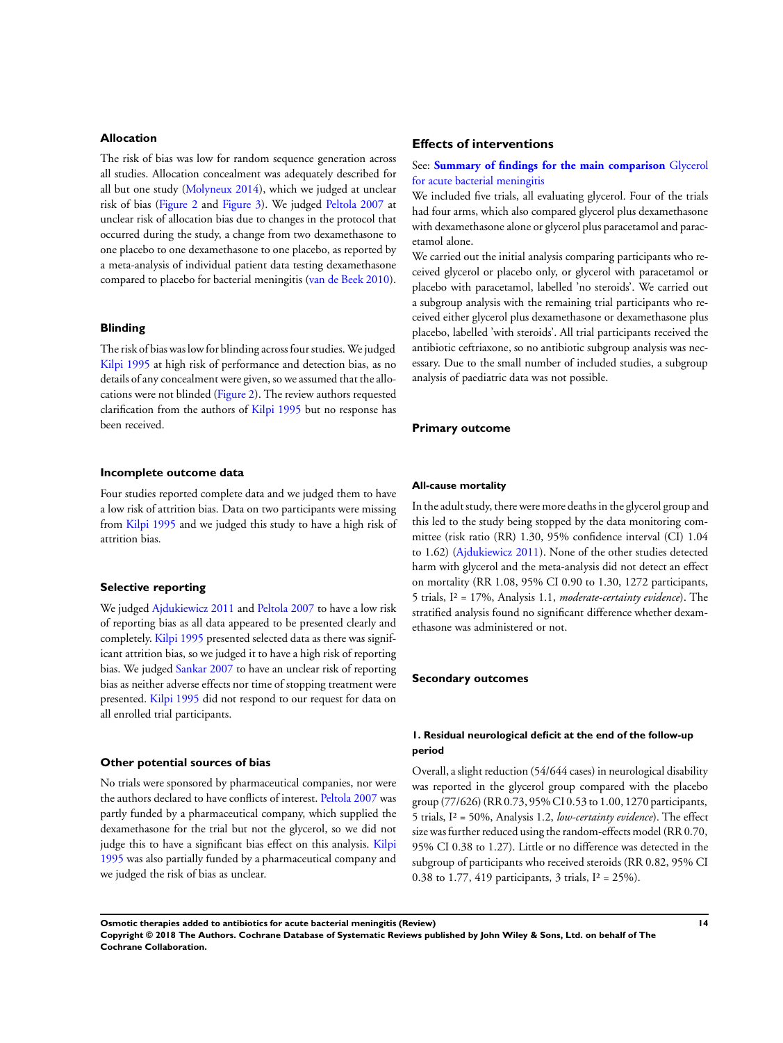### **Allocation**

The risk of bias was low for random sequence generation across all studies. Allocation concealment was adequately described for all but one study [\(Molyneux 2014\)](#page-18-0), which we judged at unclear risk of bias ([Figure 2](#page-13-0) and [Figure 3\)](#page-14-0). We judged [Peltola 2007](#page-18-0) at unclear risk of allocation bias due to changes in the protocol that occurred during the study, a change from two dexamethasone to one placebo to one dexamethasone to one placebo, as reported by a meta-analysis of individual patient data testing dexamethasone compared to placebo for bacterial meningitis ([van de Beek 2010](#page-18-0)).

# **Blinding**

The risk of bias was low for blinding across four studies. We judged [Kilpi 1995](#page-18-0) at high risk of performance and detection bias, as no details of any concealment were given, so we assumed that the allocations were not blinded [\(Figure 2](#page-13-0)). The review authors requested clarification from the authors of [Kilpi 1995](#page-18-0) but no response has been received.

#### **Incomplete outcome data**

Four studies reported complete data and we judged them to have a low risk of attrition bias. Data on two participants were missing from [Kilpi 1995](#page-18-0) and we judged this study to have a high risk of attrition bias.

### **Selective reporting**

We judged [Ajdukiewicz 2011](#page-18-0) and [Peltola 2007](#page-18-0) to have a low risk of reporting bias as all data appeared to be presented clearly and completely. [Kilpi 1995](#page-18-0) presented selected data as there was significant attrition bias, so we judged it to have a high risk of reporting bias. We judged [Sankar 2007](#page-18-0) to have an unclear risk of reporting bias as neither adverse effects nor time of stopping treatment were presented. [Kilpi 1995](#page-18-0) did not respond to our request for data on all enrolled trial participants.

#### **Other potential sources of bias**

No trials were sponsored by pharmaceutical companies, nor were the authors declared to have conflicts of interest. [Peltola 2007](#page-18-0) was partly funded by a pharmaceutical company, which supplied the dexamethasone for the trial but not the glycerol, so we did not judge this to have a significant bias effect on this analysis. [Kilpi](#page-18-0) [1995](#page-18-0) was also partially funded by a pharmaceutical company and we judged the risk of bias as unclear.

#### **Effects of interventions**

See: **[Summary of findings for the main comparison](#page-4-0)** [Glycerol](#page-4-0) [for acute bacterial meningitis](#page-4-0)

We included five trials, all evaluating glycerol. Four of the trials had four arms, which also compared glycerol plus dexamethasone with dexamethasone alone or glycerol plus paracetamol and paracetamol alone.

We carried out the initial analysis comparing participants who received glycerol or placebo only, or glycerol with paracetamol or placebo with paracetamol, labelled 'no steroids'. We carried out a subgroup analysis with the remaining trial participants who received either glycerol plus dexamethasone or dexamethasone plus placebo, labelled 'with steroids'. All trial participants received the antibiotic ceftriaxone, so no antibiotic subgroup analysis was necessary. Due to the small number of included studies, a subgroup analysis of paediatric data was not possible.

#### **Primary outcome**

#### **All-cause mortality**

In the adult study, there were more deaths in the glycerol group and this led to the study being stopped by the data monitoring committee (risk ratio (RR) 1.30, 95% confidence interval (CI) 1.04 to 1.62) ([Ajdukiewicz 2011\)](#page-18-0). None of the other studies detected harm with glycerol and the meta-analysis did not detect an effect on mortality (RR 1.08, 95% CI 0.90 to 1.30, 1272 participants, 5 trials, I² = 17%, Analysis 1.1, *moderate-certainty evidence*). The stratified analysis found no significant difference whether dexamethasone was administered or not.

#### **Secondary outcomes**

#### **1. Residual neurological deficit at the end of the follow-up period**

Overall, a slight reduction (54/644 cases) in neurological disability was reported in the glycerol group compared with the placebo group (77/626) (RR 0.73, 95% CI 0.53 to 1.00, 1270 participants, 5 trials, I² = 50%, Analysis 1.2, *low-certainty evidence*). The effect size was further reduced using the random-effects model (RR 0.70, 95% CI 0.38 to 1.27). Little or no difference was detected in the subgroup of participants who received steroids (RR 0.82, 95% CI 0.38 to 1.77, 419 participants, 3 trials,  $I^2 = 25\%$ ).

**Osmotic therapies added to antibiotics for acute bacterial meningitis (Review) 14**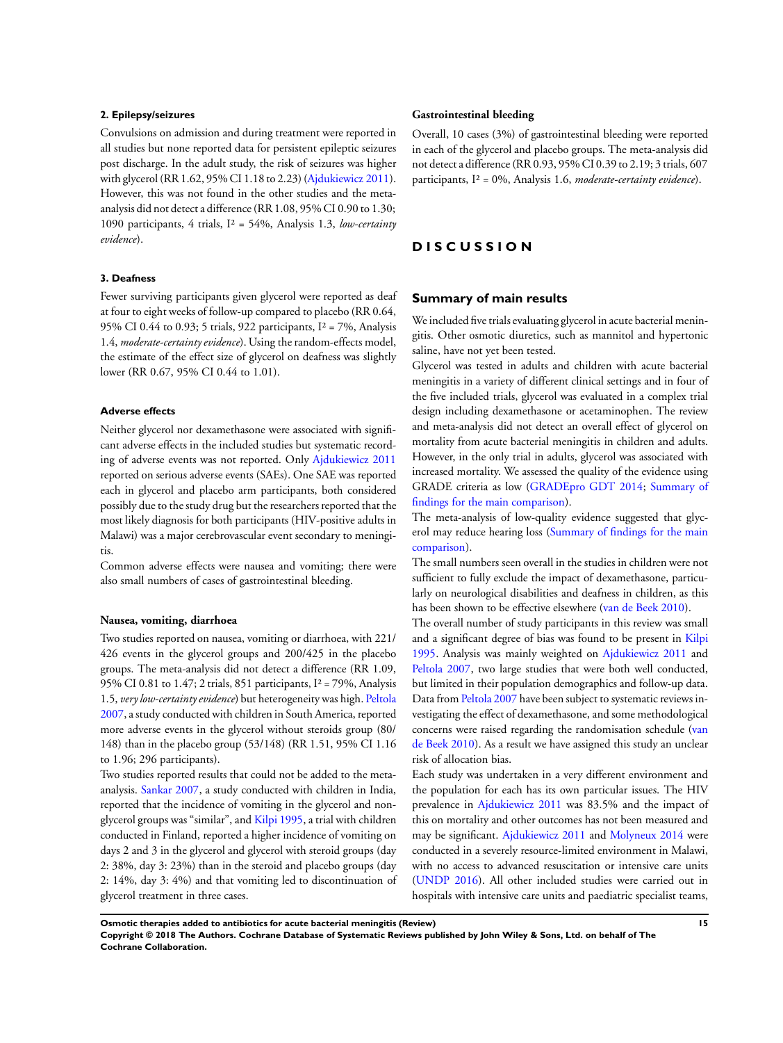#### **2. Epilepsy/seizures**

Convulsions on admission and during treatment were reported in all studies but none reported data for persistent epileptic seizures post discharge. In the adult study, the risk of seizures was higher with glycerol (RR 1.62, 95% CI 1.18 to 2.23) ([Ajdukiewicz 2011](#page-18-0)). However, this was not found in the other studies and the metaanalysis did not detect a difference (RR 1.08, 95% CI 0.90 to 1.30; 1090 participants, 4 trials, I² = 54%, Analysis 1.3, *low-certainty evidence*).

#### **3. Deafness**

Fewer surviving participants given glycerol were reported as deaf at four to eight weeks of follow-up compared to placebo (RR 0.64, 95% CI 0.44 to 0.93; 5 trials, 922 participants, I² = 7%, Analysis 1.4, *moderate-certainty evidence*). Using the random-effects model, the estimate of the effect size of glycerol on deafness was slightly lower (RR 0.67, 95% CI 0.44 to 1.01).

# **Adverse effects**

Neither glycerol nor dexamethasone were associated with significant adverse effects in the included studies but systematic recording of adverse events was not reported. Only [Ajdukiewicz 2011](#page-18-0) reported on serious adverse events (SAEs). One SAE was reported each in glycerol and placebo arm participants, both considered possibly due to the study drug but the researchers reported that the most likely diagnosis for both participants (HIV-positive adults in Malawi) was a major cerebrovascular event secondary to meningitis.

Common adverse effects were nausea and vomiting; there were also small numbers of cases of gastrointestinal bleeding.

### **Nausea, vomiting, diarrhoea**

Two studies reported on nausea, vomiting or diarrhoea, with 221/ 426 events in the glycerol groups and 200/425 in the placebo groups. The meta-analysis did not detect a difference (RR 1.09, 95% CI 0.81 to 1.47; 2 trials, 851 participants, I² = 79%, Analysis 1.5, *very low-certainty evidence*) but heterogeneity was high. [Peltola](#page-18-0) [2007](#page-18-0), a study conducted with children in South America, reported more adverse events in the glycerol without steroids group (80/ 148) than in the placebo group (53/148) (RR 1.51, 95% CI 1.16 to 1.96; 296 participants).

Two studies reported results that could not be added to the metaanalysis. [Sankar 2007](#page-18-0), a study conducted with children in India, reported that the incidence of vomiting in the glycerol and nonglycerol groups was "similar", and [Kilpi 1995](#page-18-0), a trial with children conducted in Finland, reported a higher incidence of vomiting on days 2 and 3 in the glycerol and glycerol with steroid groups (day 2: 38%, day 3: 23%) than in the steroid and placebo groups (day 2: 14%, day 3: 4%) and that vomiting led to discontinuation of glycerol treatment in three cases.

#### **Gastrointestinal bleeding**

Overall, 10 cases (3%) of gastrointestinal bleeding were reported in each of the glycerol and placebo groups. The meta-analysis did not detect a difference (RR 0.93, 95% CI 0.39 to 2.19; 3 trials, 607 participants, I² = 0%, Analysis 1.6, *moderate-certainty evidence*).

# **D I S C U S S I O N**

# **Summary of main results**

We included five trials evaluating glycerol in acute bacterial meningitis. Other osmotic diuretics, such as mannitol and hypertonic saline, have not yet been tested.

Glycerol was tested in adults and children with acute bacterial meningitis in a variety of different clinical settings and in four of the five included trials, glycerol was evaluated in a complex trial design including dexamethasone or acetaminophen. The review and meta-analysis did not detect an overall effect of glycerol on mortality from acute bacterial meningitis in children and adults. However, in the only trial in adults, glycerol was associated with increased mortality. We assessed the quality of the evidence using GRADE criteria as low ([GRADEpro GDT 2014;](#page-18-0) [Summary of](#page-4-0) [findings for the main comparison](#page-4-0)).

The meta-analysis of low-quality evidence suggested that glycerol may reduce hearing loss ([Summary of findings for the main](#page-4-0) [comparison\)](#page-4-0).

The small numbers seen overall in the studies in children were not sufficient to fully exclude the impact of dexamethasone, particularly on neurological disabilities and deafness in children, as this has been shown to be effective elsewhere [\(van de Beek 2010](#page-18-0)).

The overall number of study participants in this review was small and a significant degree of bias was found to be present in [Kilpi](#page-18-0) [1995](#page-18-0). Analysis was mainly weighted on [Ajdukiewicz 2011](#page-18-0) and [Peltola 2007,](#page-18-0) two large studies that were both well conducted, but limited in their population demographics and follow-up data. Data from [Peltola 2007](#page-18-0) have been subject to systematic reviews investigating the effect of dexamethasone, and some methodological concerns were raised regarding the randomisation schedule ([van](#page-18-0) [de Beek 2010\)](#page-18-0). As a result we have assigned this study an unclear risk of allocation bias.

Each study was undertaken in a very different environment and the population for each has its own particular issues. The HIV prevalence in [Ajdukiewicz 2011](#page-18-0) was 83.5% and the impact of this on mortality and other outcomes has not been measured and may be significant. [Ajdukiewicz 2011](#page-18-0) and [Molyneux 2014](#page-18-0) were conducted in a severely resource-limited environment in Malawi, with no access to advanced resuscitation or intensive care units [\(UNDP 2016](#page-18-0)). All other included studies were carried out in hospitals with intensive care units and paediatric specialist teams,

**Osmotic therapies added to antibiotics for acute bacterial meningitis (Review) 15**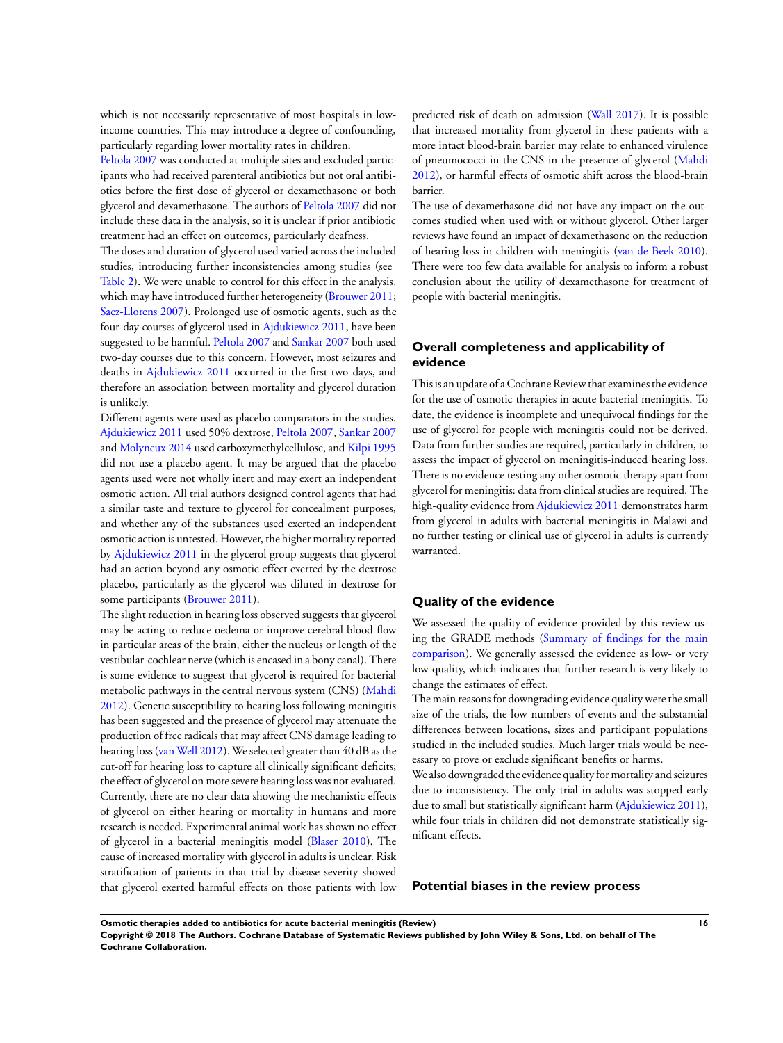which is not necessarily representative of most hospitals in lowincome countries. This may introduce a degree of confounding, particularly regarding lower mortality rates in children.

[Peltola 2007](#page-18-0) was conducted at multiple sites and excluded participants who had received parenteral antibiotics but not oral antibiotics before the first dose of glycerol or dexamethasone or both glycerol and dexamethasone. The authors of [Peltola 2007](#page-18-0) did not include these data in the analysis, so it is unclear if prior antibiotic treatment had an effect on outcomes, particularly deafness.

The doses and duration of glycerol used varied across the included studies, introducing further inconsistencies among studies (see [Table 2\)](#page-30-0). We were unable to control for this effect in the analysis, which may have introduced further heterogeneity ([Brouwer 2011;](#page-18-0) [Saez-Llorens 2007\)](#page-18-0). Prolonged use of osmotic agents, such as the four-day courses of glycerol used in [Ajdukiewicz 2011,](#page-18-0) have been suggested to be harmful. [Peltola 2007](#page-18-0) and [Sankar 2007](#page-18-0) both used two-day courses due to this concern. However, most seizures and deaths in [Ajdukiewicz 2011](#page-18-0) occurred in the first two days, and therefore an association between mortality and glycerol duration is unlikely.

Different agents were used as placebo comparators in the studies. [Ajdukiewicz 2011](#page-18-0) used 50% dextrose, [Peltola 2007](#page-18-0), [Sankar 2007](#page-18-0) and [Molyneux 2014](#page-18-0) used carboxymethylcellulose, and [Kilpi 1995](#page-18-0) did not use a placebo agent. It may be argued that the placebo agents used were not wholly inert and may exert an independent osmotic action. All trial authors designed control agents that had a similar taste and texture to glycerol for concealment purposes, and whether any of the substances used exerted an independent osmotic action is untested. However, the higher mortality reported by [Ajdukiewicz 2011](#page-18-0) in the glycerol group suggests that glycerol had an action beyond any osmotic effect exerted by the dextrose placebo, particularly as the glycerol was diluted in dextrose for some participants [\(Brouwer 2011](#page-18-0)).

The slight reduction in hearing loss observed suggests that glycerol may be acting to reduce oedema or improve cerebral blood flow in particular areas of the brain, either the nucleus or length of the vestibular-cochlear nerve (which is encased in a bony canal). There is some evidence to suggest that glycerol is required for bacterial metabolic pathways in the central nervous system (CNS) ([Mahdi](#page-18-0) [2012](#page-18-0)). Genetic susceptibility to hearing loss following meningitis has been suggested and the presence of glycerol may attenuate the production of free radicals that may affect CNS damage leading to hearing loss [\(van Well 2012\)](#page-18-0). We selected greater than 40 dB as the cut-off for hearing loss to capture all clinically significant deficits; the effect of glycerol on more severe hearing loss was not evaluated. Currently, there are no clear data showing the mechanistic effects of glycerol on either hearing or mortality in humans and more research is needed. Experimental animal work has shown no effect of glycerol in a bacterial meningitis model [\(Blaser 2010](#page-18-0)). The cause of increased mortality with glycerol in adults is unclear. Risk stratification of patients in that trial by disease severity showed that glycerol exerted harmful effects on those patients with low predicted risk of death on admission [\(Wall 2017](#page-18-0)). It is possible that increased mortality from glycerol in these patients with a more intact blood-brain barrier may relate to enhanced virulence of pneumococci in the CNS in the presence of glycerol ([Mahdi](#page-18-0) [2012](#page-18-0)), or harmful effects of osmotic shift across the blood-brain barrier.

The use of dexamethasone did not have any impact on the outcomes studied when used with or without glycerol. Other larger reviews have found an impact of dexamethasone on the reduction of hearing loss in children with meningitis [\(van de Beek 2010](#page-18-0)). There were too few data available for analysis to inform a robust conclusion about the utility of dexamethasone for treatment of people with bacterial meningitis.

# **Overall completeness and applicability of evidence**

This is an update of a Cochrane Review that examines the evidence for the use of osmotic therapies in acute bacterial meningitis. To date, the evidence is incomplete and unequivocal findings for the use of glycerol for people with meningitis could not be derived. Data from further studies are required, particularly in children, to assess the impact of glycerol on meningitis-induced hearing loss. There is no evidence testing any other osmotic therapy apart from glycerol for meningitis: data from clinical studies are required. The high-quality evidence from [Ajdukiewicz 2011](#page-18-0) demonstrates harm from glycerol in adults with bacterial meningitis in Malawi and no further testing or clinical use of glycerol in adults is currently warranted.

## **Quality of the evidence**

We assessed the quality of evidence provided by this review using the GRADE methods ([Summary of findings for the main](#page-4-0) [comparison\)](#page-4-0). We generally assessed the evidence as low- or very low-quality, which indicates that further research is very likely to change the estimates of effect.

The main reasons for downgrading evidence quality were the small size of the trials, the low numbers of events and the substantial differences between locations, sizes and participant populations studied in the included studies. Much larger trials would be necessary to prove or exclude significant benefits or harms.

We also downgraded the evidence quality for mortality and seizures due to inconsistency. The only trial in adults was stopped early due to small but statistically significant harm ([Ajdukiewicz 2011](#page-18-0)), while four trials in children did not demonstrate statistically significant effects.

#### **Potential biases in the review process**

**Osmotic therapies added to antibiotics for acute bacterial meningitis (Review) 16**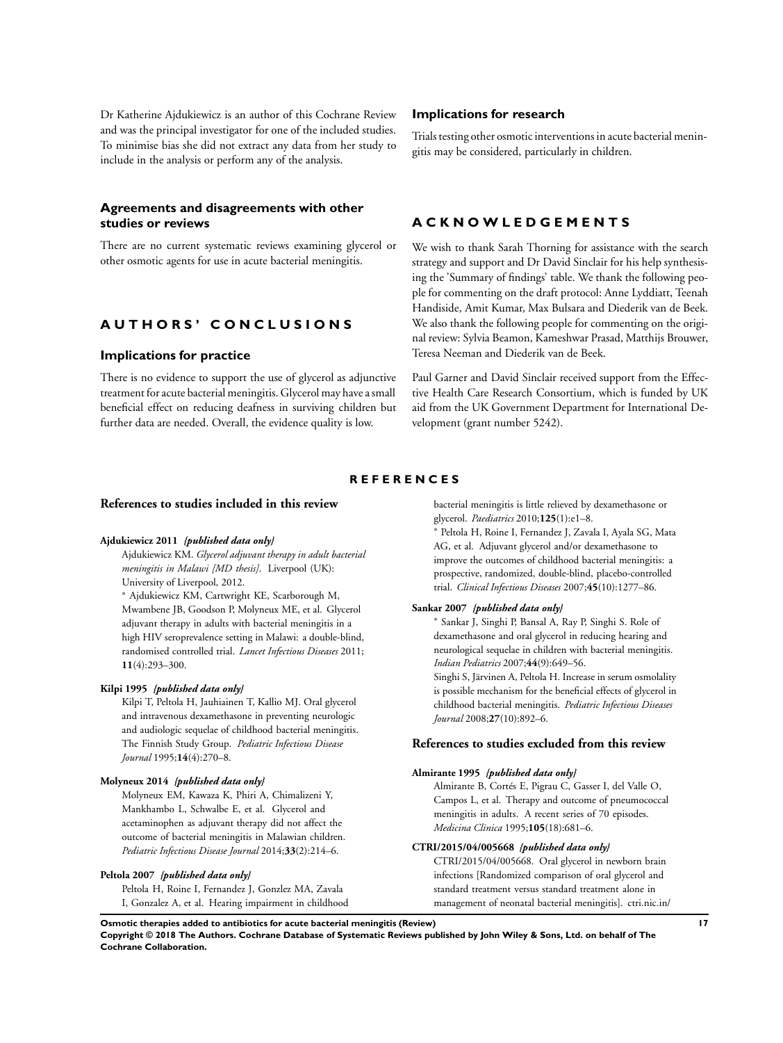<span id="page-18-0"></span>Dr Katherine Ajdukiewicz is an author of this Cochrane Review and was the principal investigator for one of the included studies. To minimise bias she did not extract any data from her study to include in the analysis or perform any of the analysis.

# **Agreements and disagreements with other studies or reviews**

There are no current systematic reviews examining glycerol or other osmotic agents for use in acute bacterial meningitis.

# **A U T H O R S ' C O N C L U S I O N S**

### **Implications for practice**

There is no evidence to support the use of glycerol as adjunctive treatment for acute bacterial meningitis. Glycerol may have a small beneficial effect on reducing deafness in surviving children but further data are needed. Overall, the evidence quality is low.

### **Implications for research**

Trials testing other osmotic interventions in acute bacterial meningitis may be considered, particularly in children.

## **A C K N O W L E D G E M E N T S**

We wish to thank Sarah Thorning for assistance with the search strategy and support and Dr David Sinclair for his help synthesising the 'Summary of findings' table. We thank the following people for commenting on the draft protocol: Anne Lyddiatt, Teenah Handiside, Amit Kumar, Max Bulsara and Diederik van de Beek. We also thank the following people for commenting on the original review: Sylvia Beamon, Kameshwar Prasad, Matthijs Brouwer, Teresa Neeman and Diederik van de Beek.

Paul Garner and David Sinclair received support from the Effective Health Care Research Consortium, which is funded by UK aid from the UK Government Department for International Development (grant number 5242).

# **R E F E R E N C E S**

#### **References to studies included in this review**

#### **Ajdukiewicz 2011** *{published data only}*

Ajdukiewicz KM. *Glycerol adjuvant therapy in adult bacterial meningitis in Malawi [MD thesis]*. Liverpool (UK): University of Liverpool, 2012.

<sup>∗</sup> Ajdukiewicz KM, Cartwright KE, Scarborough M, Mwambene JB, Goodson P, Molyneux ME, et al. Glycerol adjuvant therapy in adults with bacterial meningitis in a high HIV seroprevalence setting in Malawi: a double-blind, randomised controlled trial. *Lancet Infectious Diseases* 2011; **11**(4):293–300.

#### **Kilpi 1995** *{published data only}*

Kilpi T, Peltola H, Jauhiainen T, Kallio MJ. Oral glycerol and intravenous dexamethasone in preventing neurologic and audiologic sequelae of childhood bacterial meningitis. The Finnish Study Group. *Pediatric Infectious Disease Journal* 1995;**14**(4):270–8.

#### **Molyneux 2014** *{published data only}*

Molyneux EM, Kawaza K, Phiri A, Chimalizeni Y, Mankhambo L, Schwalbe E, et al. Glycerol and acetaminophen as adjuvant therapy did not affect the outcome of bacterial meningitis in Malawian children. *Pediatric Infectious Disease Journal* 2014;**33**(2):214–6.

#### **Peltola 2007** *{published data only}*

Peltola H, Roine I, Fernandez J, Gonzlez MA, Zavala I, Gonzalez A, et al. Hearing impairment in childhood bacterial meningitis is little relieved by dexamethasone or glycerol. *Paediatrics* 2010;**125**(1):e1–8.

<sup>∗</sup> Peltola H, Roine I, Fernandez J, Zavala I, Ayala SG, Mata AG, et al. Adjuvant glycerol and/or dexamethasone to improve the outcomes of childhood bacterial meningitis: a prospective, randomized, double-blind, placebo-controlled trial. *Clinical Infectious Diseases* 2007;**45**(10):1277–86.

#### **Sankar 2007** *{published data only}*

∗ Sankar J, Singhi P, Bansal A, Ray P, Singhi S. Role of dexamethasone and oral glycerol in reducing hearing and neurological sequelae in children with bacterial meningitis. *Indian Pediatrics* 2007;**44**(9):649–56.

Singhi S, Järvinen A, Peltola H. Increase in serum osmolality is possible mechanism for the beneficial effects of glycerol in childhood bacterial meningitis. *Pediatric Infectious Diseases Journal* 2008;**27**(10):892–6.

#### **References to studies excluded from this review**

#### **Almirante 1995** *{published data only}*

Almirante B, Cortés E, Pigrau C, Gasser I, del Valle O, Campos L, et al. Therapy and outcome of pneumococcal meningitis in adults. A recent series of 70 episodes. *Medicina Clinica* 1995;**105**(18):681–6.

#### **CTRI/2015/04/005668** *{published data only}*

CTRI/2015/04/005668. Oral glycerol in newborn brain infections [Randomized comparison of oral glycerol and standard treatment versus standard treatment alone in management of neonatal bacterial meningitis]. ctri.nic.in/

**Osmotic therapies added to antibiotics for acute bacterial meningitis (Review) 17**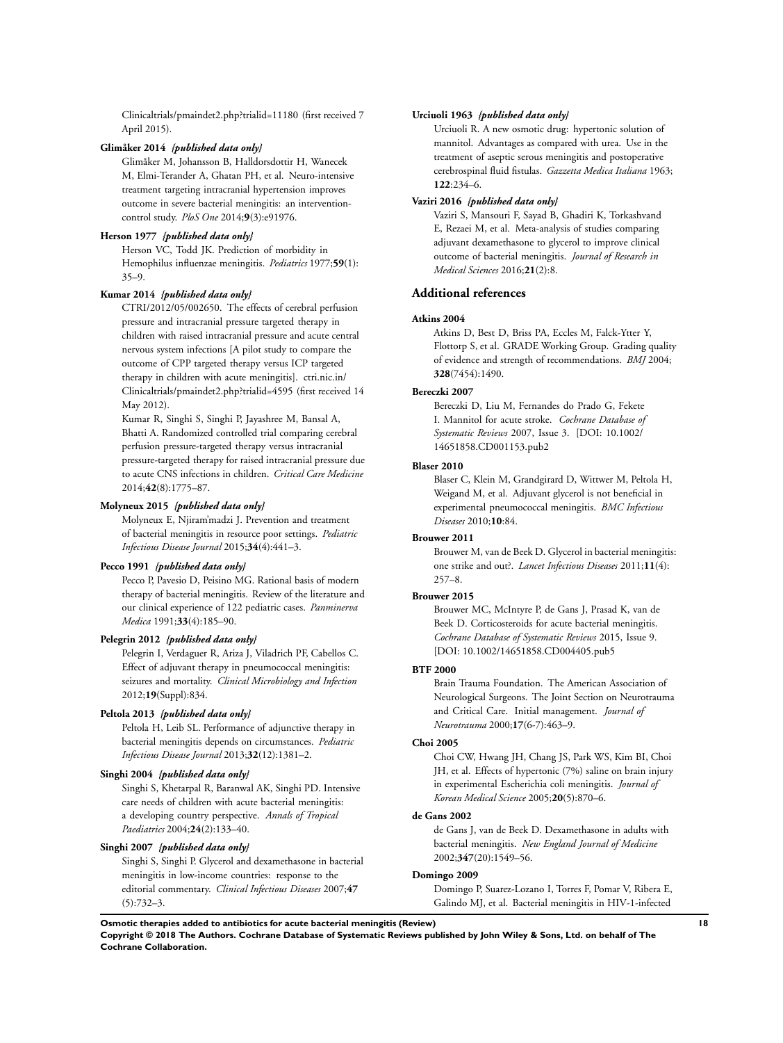Clinicaltrials/pmaindet2.php?trialid=11180 (first received 7 April 2015).

#### **Glimåker 2014** *{published data only}*

Glimåker M, Johansson B, Halldorsdottir H, Wanecek M, Elmi-Terander A, Ghatan PH, et al. Neuro-intensive treatment targeting intracranial hypertension improves outcome in severe bacterial meningitis: an interventioncontrol study. *PloS One* 2014;**9**(3):e91976.

#### **Herson 1977** *{published data only}*

Herson VC, Todd JK. Prediction of morbidity in Hemophilus influenzae meningitis. *Pediatrics* 1977;**59**(1): 35–9.

#### **Kumar 2014** *{published data only}*

CTRI/2012/05/002650. The effects of cerebral perfusion pressure and intracranial pressure targeted therapy in children with raised intracranial pressure and acute central nervous system infections [A pilot study to compare the outcome of CPP targeted therapy versus ICP targeted therapy in children with acute meningitis]. ctri.nic.in/ Clinicaltrials/pmaindet2.php?trialid=4595 (first received 14 May 2012).

Kumar R, Singhi S, Singhi P, Jayashree M, Bansal A, Bhatti A. Randomized controlled trial comparing cerebral perfusion pressure-targeted therapy versus intracranial pressure-targeted therapy for raised intracranial pressure due to acute CNS infections in children. *Critical Care Medicine* 2014;**42**(8):1775–87.

#### **Molyneux 2015** *{published data only}*

Molyneux E, Njiram'madzi J. Prevention and treatment of bacterial meningitis in resource poor settings. *Pediatric Infectious Disease Journal* 2015;**34**(4):441–3.

#### **Pecco 1991** *{published data only}*

Pecco P, Pavesio D, Peisino MG. Rational basis of modern therapy of bacterial meningitis. Review of the literature and our clinical experience of 122 pediatric cases. *Panminerva Medica* 1991;**33**(4):185–90.

### **Pelegrin 2012** *{published data only}*

Pelegrin I, Verdaguer R, Ariza J, Viladrich PF, Cabellos C. Effect of adjuvant therapy in pneumococcal meningitis: seizures and mortality. *Clinical Microbiology and Infection* 2012;**19**(Suppl):834.

### **Peltola 2013** *{published data only}*

Peltola H, Leib SL. Performance of adjunctive therapy in bacterial meningitis depends on circumstances. *Pediatric Infectious Disease Journal* 2013;**32**(12):1381–2.

### **Singhi 2004** *{published data only}*

Singhi S, Khetarpal R, Baranwal AK, Singhi PD. Intensive care needs of children with acute bacterial meningitis: a developing country perspective. *Annals of Tropical Paediatrics* 2004;**24**(2):133–40.

#### **Singhi 2007** *{published data only}*

Singhi S, Singhi P. Glycerol and dexamethasone in bacterial meningitis in low-income countries: response to the editorial commentary. *Clinical Infectious Diseases* 2007;**47** (5):732–3.

#### **Urciuoli 1963** *{published data only}*

Urciuoli R. A new osmotic drug: hypertonic solution of mannitol. Advantages as compared with urea. Use in the treatment of aseptic serous meningitis and postoperative cerebrospinal fluid fistulas. *Gazzetta Medica Italiana* 1963; **122**:234–6.

#### **Vaziri 2016** *{published data only}*

Vaziri S, Mansouri F, Sayad B, Ghadiri K, Torkashvand E, Rezaei M, et al. Meta-analysis of studies comparing adjuvant dexamethasone to glycerol to improve clinical outcome of bacterial meningitis. *Journal of Research in Medical Sciences* 2016;**21**(2):8.

# **Additional references**

## **Atkins 2004**

Atkins D, Best D, Briss PA, Eccles M, Falck-Ytter Y, Flottorp S, et al. GRADE Working Group. Grading quality of evidence and strength of recommendations. *BMJ* 2004; **328**(7454):1490.

#### **Bereczki 2007**

Bereczki D, Liu M, Fernandes do Prado G, Fekete I. Mannitol for acute stroke. *Cochrane Database of Systematic Reviews* 2007, Issue 3. [DOI: 10.1002/ 14651858.CD001153.pub2

#### **Blaser 2010**

Blaser C, Klein M, Grandgirard D, Wittwer M, Peltola H, Weigand M, et al. Adjuvant glycerol is not beneficial in experimental pneumococcal meningitis. *BMC Infectious Diseases* 2010;**10**:84.

#### **Brouwer 2011**

Brouwer M, van de Beek D. Glycerol in bacterial meningitis: one strike and out?. *Lancet Infectious Diseases* 2011;**11**(4): 257–8.

#### **Brouwer 2015**

Brouwer MC, McIntyre P, de Gans J, Prasad K, van de Beek D. Corticosteroids for acute bacterial meningitis. *Cochrane Database of Systematic Reviews* 2015, Issue 9. [DOI: 10.1002/14651858.CD004405.pub5

#### **BTF 2000**

Brain Trauma Foundation. The American Association of Neurological Surgeons. The Joint Section on Neurotrauma and Critical Care. Initial management. *Journal of Neurotrauma* 2000;**17**(6-7):463–9.

#### **Choi 2005**

Choi CW, Hwang JH, Chang JS, Park WS, Kim BI, Choi JH, et al. Effects of hypertonic (7%) saline on brain injury in experimental Escherichia coli meningitis. *Journal of Korean Medical Science* 2005;**20**(5):870–6.

#### **de Gans 2002**

de Gans J, van de Beek D. Dexamethasone in adults with bacterial meningitis. *New England Journal of Medicine* 2002;**347**(20):1549–56.

#### **Domingo 2009**

Domingo P, Suarez-Lozano I, Torres F, Pomar V, Ribera E, Galindo MJ, et al. Bacterial meningitis in HIV-1-infected

### **Osmotic therapies added to antibiotics for acute bacterial meningitis (Review) 18**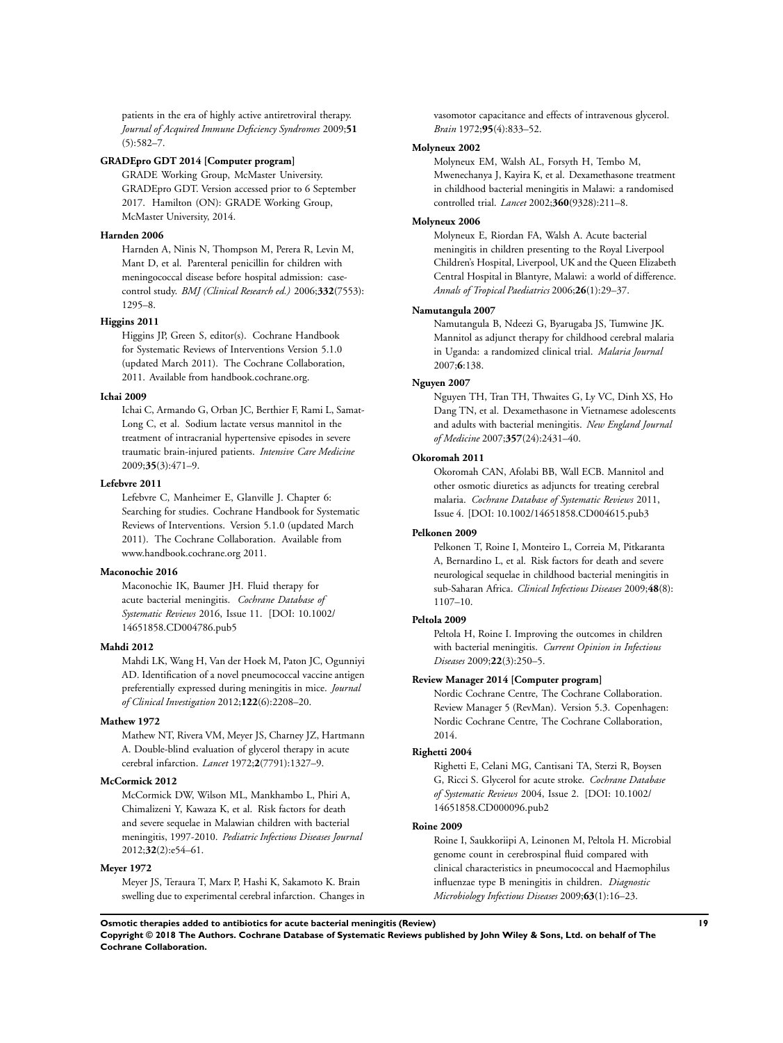patients in the era of highly active antiretroviral therapy. *Journal of Acquired Immune Deficiency Syndromes* 2009;**51**  $(5):582-7.$ 

# **GRADEpro GDT 2014 [Computer program]**

GRADE Working Group, McMaster University. GRADEpro GDT. Version accessed prior to 6 September 2017. Hamilton (ON): GRADE Working Group, McMaster University, 2014.

#### **Harnden 2006**

Harnden A, Ninis N, Thompson M, Perera R, Levin M, Mant D, et al. Parenteral penicillin for children with meningococcal disease before hospital admission: casecontrol study. *BMJ (Clinical Research ed.)* 2006;**332**(7553): 1295–8.

# **Higgins 2011**

Higgins JP, Green S, editor(s). Cochrane Handbook for Systematic Reviews of Interventions Version 5.1.0 (updated March 2011). The Cochrane Collaboration, 2011. Available from handbook.cochrane.org.

#### **Ichai 2009**

Ichai C, Armando G, Orban JC, Berthier F, Rami L, Samat-Long C, et al. Sodium lactate versus mannitol in the treatment of intracranial hypertensive episodes in severe traumatic brain-injured patients. *Intensive Care Medicine* 2009;**35**(3):471–9.

# **Lefebvre 2011**

Lefebvre C, Manheimer E, Glanville J. Chapter 6: Searching for studies. Cochrane Handbook for Systematic Reviews of Interventions. Version 5.1.0 (updated March 2011). The Cochrane Collaboration. Available from www.handbook.cochrane.org 2011.

#### **Maconochie 2016**

Maconochie IK, Baumer JH. Fluid therapy for acute bacterial meningitis. *Cochrane Database of Systematic Reviews* 2016, Issue 11. [DOI: 10.1002/ 14651858.CD004786.pub5

#### **Mahdi 2012**

Mahdi LK, Wang H, Van der Hoek M, Paton JC, Ogunniyi AD. Identification of a novel pneumococcal vaccine antigen preferentially expressed during meningitis in mice. *Journal of Clinical Investigation* 2012;**122**(6):2208–20.

#### **Mathew 1972**

Mathew NT, Rivera VM, Meyer JS, Charney JZ, Hartmann A. Double-blind evaluation of glycerol therapy in acute cerebral infarction. *Lancet* 1972;**2**(7791):1327–9.

#### **McCormick 2012**

McCormick DW, Wilson ML, Mankhambo L, Phiri A, Chimalizeni Y, Kawaza K, et al. Risk factors for death and severe sequelae in Malawian children with bacterial meningitis, 1997-2010. *Pediatric Infectious Diseases Journal* 2012;**32**(2):e54–61.

### **Meyer 1972**

Meyer JS, Teraura T, Marx P, Hashi K, Sakamoto K. Brain swelling due to experimental cerebral infarction. Changes in vasomotor capacitance and effects of intravenous glycerol. *Brain* 1972;**95**(4):833–52.

#### **Molyneux 2002**

Molyneux EM, Walsh AL, Forsyth H, Tembo M, Mwenechanya J, Kayira K, et al. Dexamethasone treatment in childhood bacterial meningitis in Malawi: a randomised controlled trial. *Lancet* 2002;**360**(9328):211–8.

#### **Molyneux 2006**

Molyneux E, Riordan FA, Walsh A. Acute bacterial meningitis in children presenting to the Royal Liverpool Children's Hospital, Liverpool, UK and the Queen Elizabeth Central Hospital in Blantyre, Malawi: a world of difference. *Annals of Tropical Paediatrics* 2006;**26**(1):29–37.

#### **Namutangula 2007**

Namutangula B, Ndeezi G, Byarugaba JS, Tumwine JK. Mannitol as adjunct therapy for childhood cerebral malaria in Uganda: a randomized clinical trial. *Malaria Journal* 2007;**6**:138.

#### **Nguyen 2007**

Nguyen TH, Tran TH, Thwaites G, Ly VC, Dinh XS, Ho Dang TN, et al. Dexamethasone in Vietnamese adolescents and adults with bacterial meningitis. *New England Journal of Medicine* 2007;**357**(24):2431–40.

#### **Okoromah 2011**

Okoromah CAN, Afolabi BB, Wall ECB. Mannitol and other osmotic diuretics as adjuncts for treating cerebral malaria. *Cochrane Database of Systematic Reviews* 2011, Issue 4. [DOI: 10.1002/14651858.CD004615.pub3

#### **Pelkonen 2009**

Pelkonen T, Roine I, Monteiro L, Correia M, Pitkaranta A, Bernardino L, et al. Risk factors for death and severe neurological sequelae in childhood bacterial meningitis in sub-Saharan Africa. *Clinical Infectious Diseases* 2009;**48**(8): 1107–10.

#### **Peltola 2009**

Peltola H, Roine I. Improving the outcomes in children with bacterial meningitis. *Current Opinion in Infectious Diseases* 2009;**22**(3):250–5.

#### **Review Manager 2014 [Computer program]**

Nordic Cochrane Centre, The Cochrane Collaboration. Review Manager 5 (RevMan). Version 5.3. Copenhagen: Nordic Cochrane Centre, The Cochrane Collaboration, 2014.

#### **Righetti 2004**

Righetti E, Celani MG, Cantisani TA, Sterzi R, Boysen G, Ricci S. Glycerol for acute stroke. *Cochrane Database of Systematic Reviews* 2004, Issue 2. [DOI: 10.1002/ 14651858.CD000096.pub2

#### **Roine 2009**

Roine I, Saukkoriipi A, Leinonen M, Peltola H. Microbial genome count in cerebrospinal fluid compared with clinical characteristics in pneumococcal and Haemophilus influenzae type B meningitis in children. *Diagnostic Microbiology Infectious Diseases* 2009;**63**(1):16–23.

**Osmotic therapies added to antibiotics for acute bacterial meningitis (Review) 19 Copyright © 2018 The Authors. Cochrane Database of Systematic Reviews published by John Wiley & Sons, Ltd. on behalf of The Cochrane Collaboration.**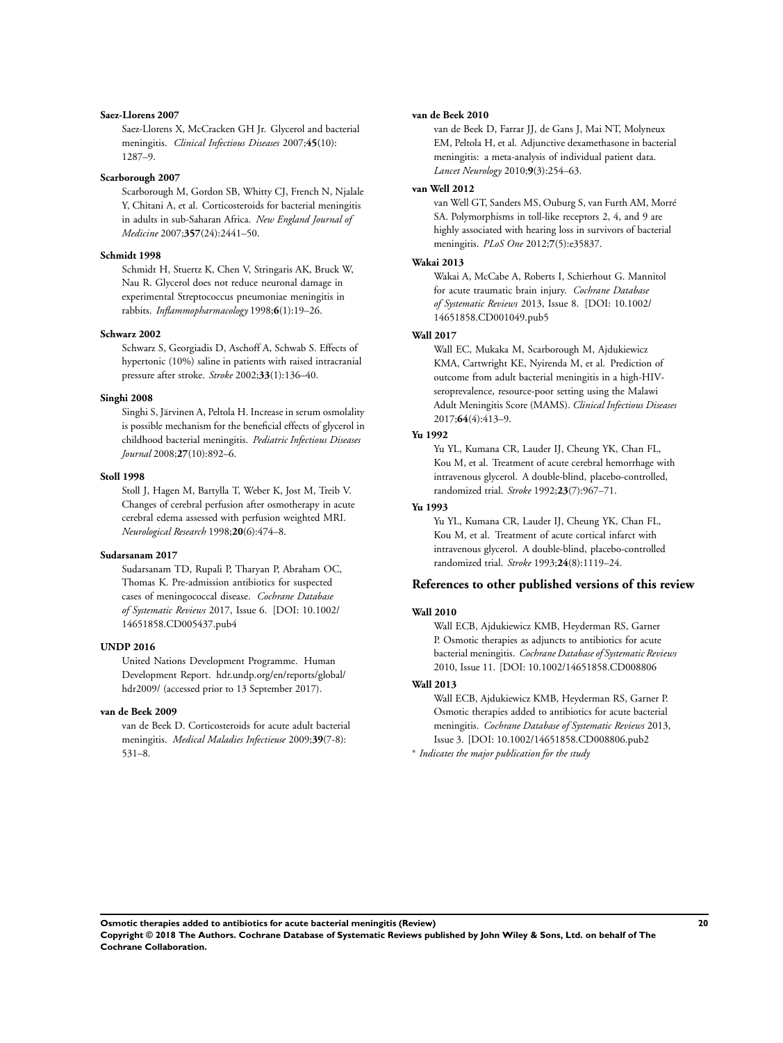#### **Saez-Llorens 2007**

Saez-Llorens X, McCracken GH Jr. Glycerol and bacterial meningitis. *Clinical Infectious Diseases* 2007;**45**(10): 1287–9.

#### **Scarborough 2007**

Scarborough M, Gordon SB, Whitty CJ, French N, Njalale Y, Chitani A, et al. Corticosteroids for bacterial meningitis in adults in sub-Saharan Africa. *New England Journal of Medicine* 2007;**357**(24):2441–50.

### **Schmidt 1998**

Schmidt H, Stuertz K, Chen V, Stringaris AK, Bruck W, Nau R. Glycerol does not reduce neuronal damage in experimental Streptococcus pneumoniae meningitis in rabbits. *Inflammopharmacology* 1998;**6**(1):19–26.

#### **Schwarz 2002**

Schwarz S, Georgiadis D, Aschoff A, Schwab S. Effects of hypertonic (10%) saline in patients with raised intracranial pressure after stroke. *Stroke* 2002;**33**(1):136–40.

#### **Singhi 2008**

Singhi S, Järvinen A, Peltola H. Increase in serum osmolality is possible mechanism for the beneficial effects of glycerol in childhood bacterial meningitis. *Pediatric Infectious Diseases Journal* 2008;**27**(10):892–6.

#### **Stoll 1998**

Stoll J, Hagen M, Bartylla T, Weber K, Jost M, Treib V. Changes of cerebral perfusion after osmotherapy in acute cerebral edema assessed with perfusion weighted MRI. *Neurological Research* 1998;**20**(6):474–8.

#### **Sudarsanam 2017**

Sudarsanam TD, Rupali P, Tharyan P, Abraham OC, Thomas K. Pre-admission antibiotics for suspected cases of meningococcal disease. *Cochrane Database of Systematic Reviews* 2017, Issue 6. [DOI: 10.1002/ 14651858.CD005437.pub4

#### **UNDP 2016**

United Nations Development Programme. Human Development Report. hdr.undp.org/en/reports/global/ hdr2009/ (accessed prior to 13 September 2017).

#### **van de Beek 2009**

van de Beek D. Corticosteroids for acute adult bacterial meningitis. *Medical Maladies Infectieuse* 2009;**39**(7-8): 531–8.

#### **van de Beek 2010**

van de Beek D, Farrar JJ, de Gans J, Mai NT, Molyneux EM, Peltola H, et al. Adjunctive dexamethasone in bacterial meningitis: a meta-analysis of individual patient data. *Lancet Neurology* 2010;**9**(3):254–63.

#### **van Well 2012**

van Well GT, Sanders MS, Ouburg S, van Furth AM, Morré SA. Polymorphisms in toll-like receptors 2, 4, and 9 are highly associated with hearing loss in survivors of bacterial meningitis. *PLoS One* 2012;**7**(5):e35837.

#### **Wakai 2013**

Wakai A, McCabe A, Roberts I, Schierhout G. Mannitol for acute traumatic brain injury. *Cochrane Database of Systematic Reviews* 2013, Issue 8. [DOI: 10.1002/ 14651858.CD001049.pub5

#### **Wall 2017**

Wall EC, Mukaka M, Scarborough M, Ajdukiewicz KMA, Cartwright KE, Nyirenda M, et al. Prediction of outcome from adult bacterial meningitis in a high-HIVseroprevalence, resource-poor setting using the Malawi Adult Meningitis Score (MAMS). *Clinical Infectious Diseases* 2017;**64**(4):413–9.

# **Yu 1992**

Yu YL, Kumana CR, Lauder IJ, Cheung YK, Chan FL, Kou M, et al. Treatment of acute cerebral hemorrhage with intravenous glycerol. A double-blind, placebo-controlled, randomized trial. *Stroke* 1992;**23**(7):967–71.

### **Yu 1993**

Yu YL, Kumana CR, Lauder IJ, Cheung YK, Chan FL, Kou M, et al. Treatment of acute cortical infarct with intravenous glycerol. A double-blind, placebo-controlled randomized trial. *Stroke* 1993;**24**(8):1119–24.

## **References to other published versions of this review**

#### **Wall 2010**

Wall ECB, Ajdukiewicz KMB, Heyderman RS, Garner P. Osmotic therapies as adjuncts to antibiotics for acute bacterial meningitis. *Cochrane Database of Systematic Reviews* 2010, Issue 11. [DOI: 10.1002/14651858.CD008806

#### **Wall 2013**

Wall ECB, Ajdukiewicz KMB, Heyderman RS, Garner P. Osmotic therapies added to antibiotics for acute bacterial meningitis. *Cochrane Database of Systematic Reviews* 2013, Issue 3. [DOI: 10.1002/14651858.CD008806.pub2

∗ *Indicates the major publication for the study*

**Osmotic therapies added to antibiotics for acute bacterial meningitis (Review) 20**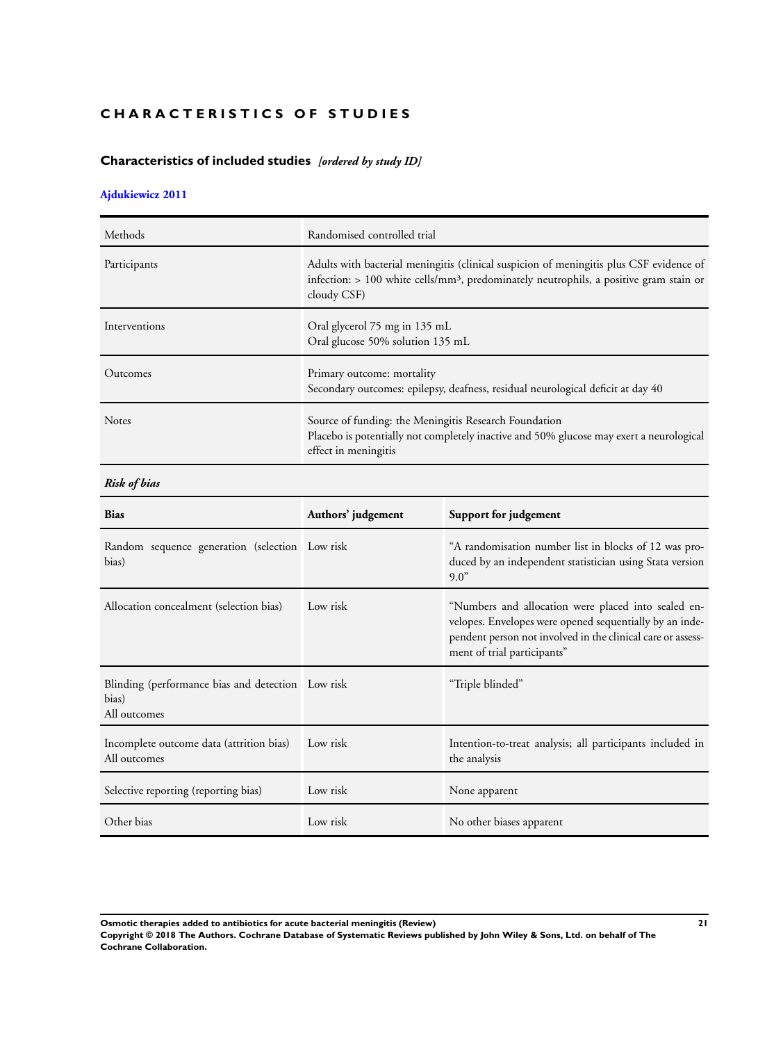# <span id="page-22-0"></span>**CHARACTERISTICS OF STUDIES**

# **Characteristics of included studies** *[ordered by study ID]*

# **[Ajdukiewicz 2011](#page-18-0)**

| Methods                                                                    | Randomised controlled trial                                                                                                                                                                                  |                                                                                                                                                                                                              |  |  |
|----------------------------------------------------------------------------|--------------------------------------------------------------------------------------------------------------------------------------------------------------------------------------------------------------|--------------------------------------------------------------------------------------------------------------------------------------------------------------------------------------------------------------|--|--|
| Participants                                                               | Adults with bacterial meningitis (clinical suspicion of meningitis plus CSF evidence of<br>infection: > 100 white cells/mm <sup>3</sup> , predominately neutrophils, a positive gram stain or<br>cloudy CSF) |                                                                                                                                                                                                              |  |  |
| Interventions                                                              | Oral glycerol 75 mg in 135 mL<br>Oral glucose 50% solution 135 mL                                                                                                                                            |                                                                                                                                                                                                              |  |  |
| Outcomes                                                                   | Primary outcome: mortality<br>Secondary outcomes: epilepsy, deafness, residual neurological deficit at day 40                                                                                                |                                                                                                                                                                                                              |  |  |
| Notes                                                                      | effect in meningitis                                                                                                                                                                                         | Source of funding: the Meningitis Research Foundation<br>Placebo is potentially not completely inactive and 50% glucose may exert a neurological                                                             |  |  |
| Risk of bias                                                               |                                                                                                                                                                                                              |                                                                                                                                                                                                              |  |  |
| <b>Bias</b>                                                                | Support for judgement<br>Authors' judgement                                                                                                                                                                  |                                                                                                                                                                                                              |  |  |
| Random sequence generation (selection Low risk<br>bias)                    |                                                                                                                                                                                                              | "A randomisation number list in blocks of 12 was pro-<br>duced by an independent statistician using Stata version<br>9.0"                                                                                    |  |  |
| Allocation concealment (selection bias)                                    | Low risk                                                                                                                                                                                                     | "Numbers and allocation were placed into sealed en-<br>velopes. Envelopes were opened sequentially by an inde-<br>pendent person not involved in the clinical care or assess-<br>ment of trial participants" |  |  |
| Blinding (performance bias and detection Low risk<br>bias)<br>All outcomes |                                                                                                                                                                                                              | "Triple blinded"                                                                                                                                                                                             |  |  |
| Incomplete outcome data (attrition bias)<br>All outcomes                   | Low risk                                                                                                                                                                                                     | Intention-to-treat analysis; all participants included in<br>the analysis                                                                                                                                    |  |  |
| Selective reporting (reporting bias)                                       | Low risk                                                                                                                                                                                                     | None apparent                                                                                                                                                                                                |  |  |
| Other bias                                                                 | Low risk                                                                                                                                                                                                     | No other biases apparent                                                                                                                                                                                     |  |  |

**Osmotic therapies added to antibiotics for acute bacterial meningitis (Review) 21**

**Copyright © 2018 The Authors. Cochrane Database of Systematic Reviews published by John Wiley & Sons, Ltd. on behalf of The Cochrane Collaboration.**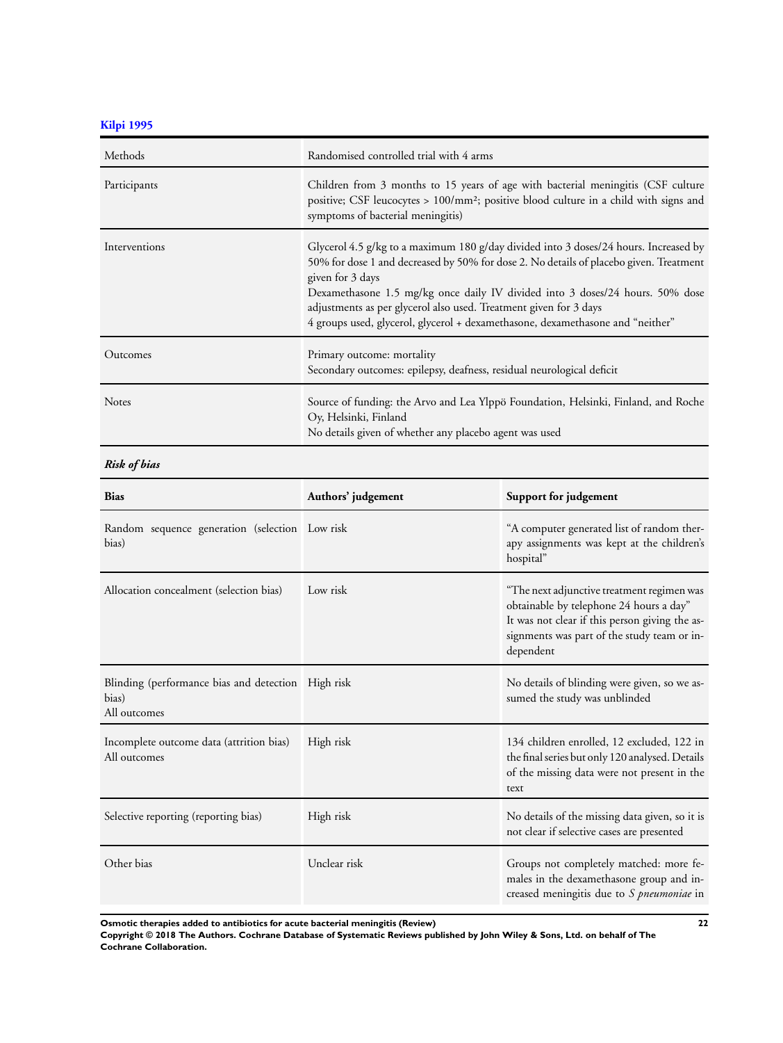**[Kilpi 1995](#page-18-0)**

| Methods       | Randomised controlled trial with 4 arms                                                                                                                                                                                                                                                                                                                                                                                                    |  |  |
|---------------|--------------------------------------------------------------------------------------------------------------------------------------------------------------------------------------------------------------------------------------------------------------------------------------------------------------------------------------------------------------------------------------------------------------------------------------------|--|--|
| Participants  | Children from 3 months to 15 years of age with bacterial meningitis (CSF culture<br>positive; CSF leucocytes > 100/mm <sup>2</sup> ; positive blood culture in a child with signs and<br>symptoms of bacterial meningitis)                                                                                                                                                                                                                 |  |  |
| Interventions | Glycerol 4.5 g/kg to a maximum 180 g/day divided into 3 doses/24 hours. Increased by<br>50% for dose 1 and decreased by 50% for dose 2. No details of placebo given. Treatment<br>given for 3 days<br>Dexamethasone 1.5 mg/kg once daily IV divided into 3 doses/24 hours. 50% dose<br>adjustments as per glycerol also used. Treatment given for 3 days<br>4 groups used, glycerol, glycerol + dexamethasone, dexamethasone and "neither" |  |  |
| Outcomes      | Primary outcome: mortality<br>Secondary outcomes: epilepsy, deafness, residual neurological deficit                                                                                                                                                                                                                                                                                                                                        |  |  |
| <b>Notes</b>  | Source of funding: the Arvo and Lea Ylppö Foundation, Helsinki, Finland, and Roche<br>Oy, Helsinki, Finland<br>No details given of whether any placebo agent was used                                                                                                                                                                                                                                                                      |  |  |

*Risk of bias*

| <b>Bias</b>                                                                 | Authors' judgement | Support for judgement                                                                                                                                                                               |
|-----------------------------------------------------------------------------|--------------------|-----------------------------------------------------------------------------------------------------------------------------------------------------------------------------------------------------|
| Random sequence generation (selection Low risk<br>bias)                     |                    | "A computer generated list of random ther-<br>apy assignments was kept at the children's<br>hospital"                                                                                               |
| Allocation concealment (selection bias)                                     | Low risk           | "The next adjunctive treatment regimen was<br>obtainable by telephone 24 hours a day"<br>It was not clear if this person giving the as-<br>signments was part of the study team or in-<br>dependent |
| Blinding (performance bias and detection High risk<br>bias)<br>All outcomes |                    | No details of blinding were given, so we as-<br>sumed the study was unblinded                                                                                                                       |
| Incomplete outcome data (attrition bias)<br>All outcomes                    | High risk          | 134 children enrolled, 12 excluded, 122 in<br>the final series but only 120 analysed. Details<br>of the missing data were not present in the<br>text                                                |
| Selective reporting (reporting bias)                                        | High risk          | No details of the missing data given, so it is<br>not clear if selective cases are presented                                                                                                        |
| Other bias                                                                  | Unclear risk       | Groups not completely matched: more fe-<br>males in the dexamethasone group and in-<br>creased meningitis due to S pneumoniae in                                                                    |

**Osmotic therapies added to antibiotics for acute bacterial meningitis (Review) 22**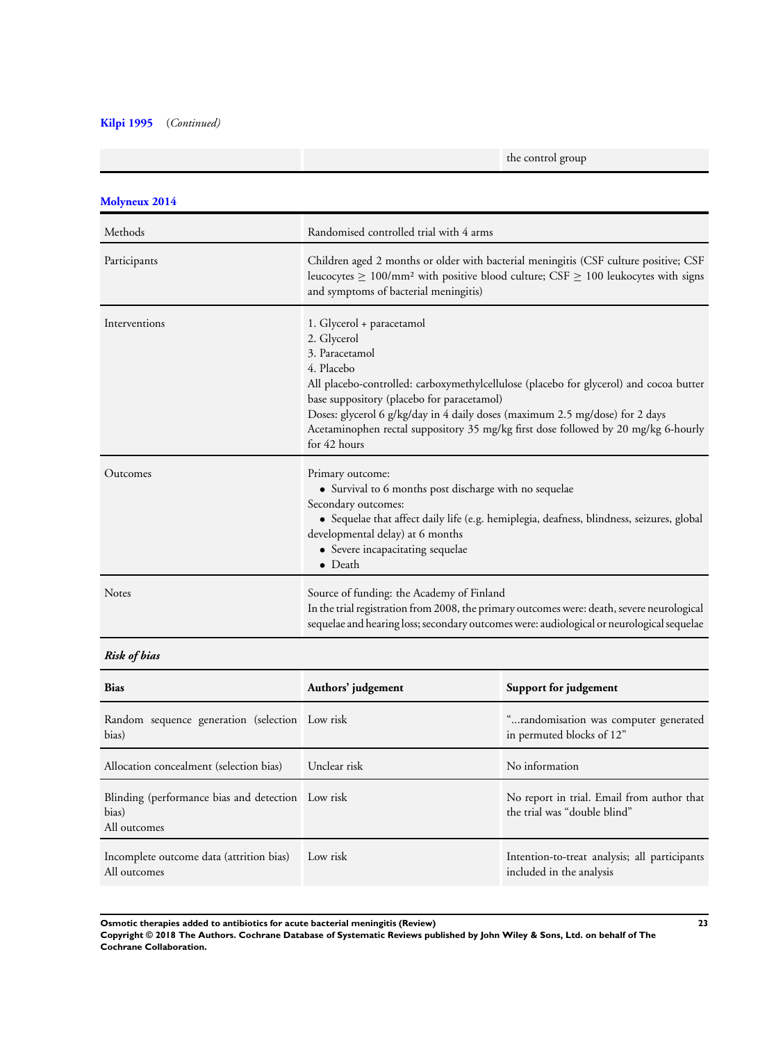the control group

| <b>Molyneux 2014</b> |                                                                                                                                                                                                                                                                                                                                                                                                        |
|----------------------|--------------------------------------------------------------------------------------------------------------------------------------------------------------------------------------------------------------------------------------------------------------------------------------------------------------------------------------------------------------------------------------------------------|
| Methods              | Randomised controlled trial with 4 arms                                                                                                                                                                                                                                                                                                                                                                |
| Participants         | Children aged 2 months or older with bacterial meningitis (CSF culture positive; CSF<br>leucocytes $\geq 100/\text{mm}^2$ with positive blood culture; CSF $\geq 100$ leukocytes with signs<br>and symptoms of bacterial meningitis)                                                                                                                                                                   |
| Interventions        | 1. Glycerol + paracetamol<br>2. Glycerol<br>3. Paracetamol<br>4. Placebo<br>All placebo-controlled: carboxymethylcellulose (placebo for glycerol) and cocoa butter<br>base suppository (placebo for paracetamol)<br>Doses: glycerol 6 g/kg/day in 4 daily doses (maximum 2.5 mg/dose) for 2 days<br>Acetaminophen rectal suppository 35 mg/kg first dose followed by 20 mg/kg 6-hourly<br>for 42 hours |
| Outcomes             | Primary outcome:<br>• Survival to 6 months post discharge with no sequelae<br>Secondary outcomes:<br>• Sequelae that affect daily life (e.g. hemiplegia, deafness, blindness, seizures, global<br>developmental delay) at 6 months<br>• Severe incapacitating sequelae<br>$\bullet$ Death                                                                                                              |
| <b>Notes</b>         | Source of funding: the Academy of Finland<br>In the trial registration from 2008, the primary outcomes were: death, severe neurological<br>sequelae and hearing loss; secondary outcomes were: audiological or neurological sequelae                                                                                                                                                                   |

*Risk of bias*

| <b>Bias</b>                                                                | Authors' judgement | Support for judgement                                                      |
|----------------------------------------------------------------------------|--------------------|----------------------------------------------------------------------------|
| Random sequence generation (selection Low risk<br>bias)                    |                    | "randomisation was computer generated<br>in permuted blocks of 12"         |
| Allocation concealment (selection bias)                                    | Unclear risk       | No information                                                             |
| Blinding (performance bias and detection Low risk<br>bias)<br>All outcomes |                    | No report in trial. Email from author that<br>the trial was "double blind" |
| Incomplete outcome data (attrition bias) Low risk<br>All outcomes          |                    | Intention-to-treat analysis; all participants<br>included in the analysis  |

**Osmotic therapies added to antibiotics for acute bacterial meningitis (Review) 23**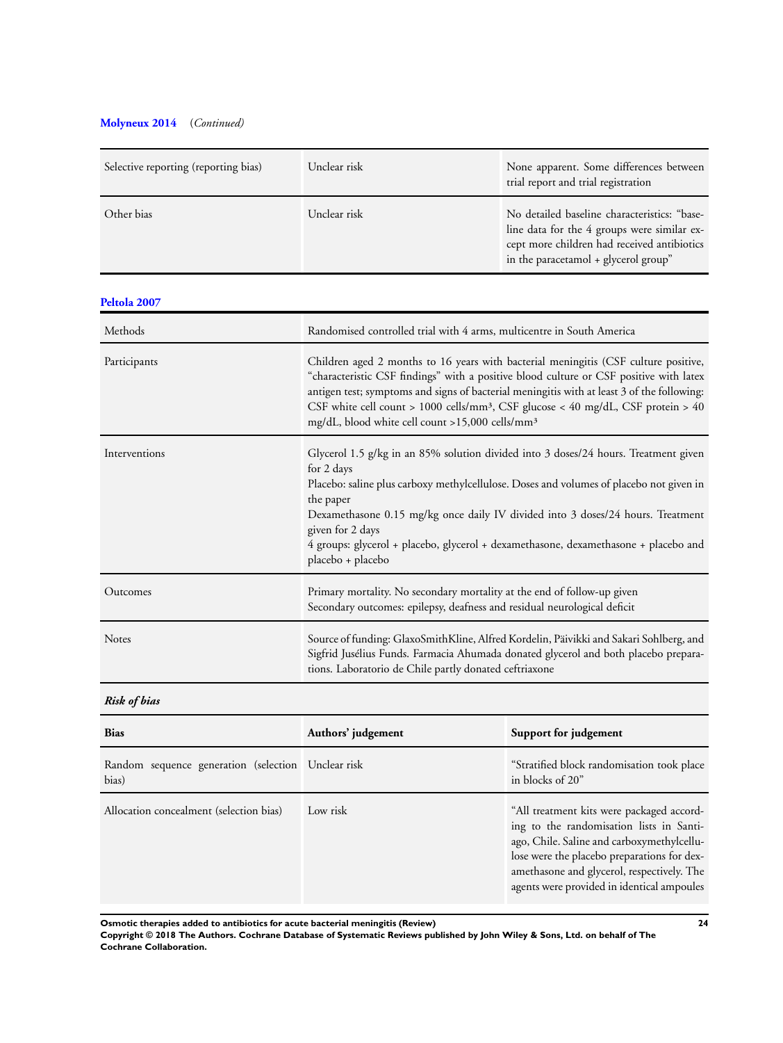# **[Molyneux 2014](#page-18-0)** (*Continued)*

| Selective reporting (reporting bias) | Unclear risk                                                                                                                                                                                                                                                                                                                                                                                                                               | None apparent. Some differences between<br>trial report and trial registration                                                                                                     |  |
|--------------------------------------|--------------------------------------------------------------------------------------------------------------------------------------------------------------------------------------------------------------------------------------------------------------------------------------------------------------------------------------------------------------------------------------------------------------------------------------------|------------------------------------------------------------------------------------------------------------------------------------------------------------------------------------|--|
| Other bias                           | Unclear risk                                                                                                                                                                                                                                                                                                                                                                                                                               | No detailed baseline characteristics: "base-<br>line data for the 4 groups were similar ex-<br>cept more children had received antibiotics<br>in the paracetamol + glycerol group" |  |
| Peltola 2007                         |                                                                                                                                                                                                                                                                                                                                                                                                                                            |                                                                                                                                                                                    |  |
| Methods                              | Randomised controlled trial with 4 arms, multicentre in South America                                                                                                                                                                                                                                                                                                                                                                      |                                                                                                                                                                                    |  |
| Participants                         | Children aged 2 months to 16 years with bacterial meningitis (CSF culture positive,<br>"characteristic CSF findings" with a positive blood culture or CSF positive with latex<br>antigen test; symptoms and signs of bacterial meningitis with at least 3 of the following:<br>CSF white cell count > 1000 cells/mm <sup>3</sup> , CSF glucose < 40 mg/dL, CSF protein > 40<br>mg/dL, blood white cell count >15,000 cells/mm <sup>3</sup> |                                                                                                                                                                                    |  |
| Interventions                        | Glycerol 1.5 g/kg in an 85% solution divided into 3 doses/24 hours. Treatment given<br>for 2 days<br>Placebo: saline plus carboxy methylcellulose. Doses and volumes of placebo not given in<br>the paper<br>Dexamethasone 0.15 mg/kg once daily IV divided into 3 doses/24 hours. Treatment<br>given for 2 days<br>4 groups: glycerol + placebo, glycerol + dexamethasone, dexamethasone + placebo and<br>placebo + placebo               |                                                                                                                                                                                    |  |
| Outcomes                             | Primary mortality. No secondary mortality at the end of follow-up given<br>Secondary outcomes: epilepsy, deafness and residual neurological deficit                                                                                                                                                                                                                                                                                        |                                                                                                                                                                                    |  |
| Notes                                | Source of funding: GlaxoSmithKline, Alfred Kordelin, Päivikki and Sakari Sohlberg, and<br>Sigfrid Jusélius Funds. Farmacia Ahumada donated glycerol and both placebo prepara-<br>tions. Laboratorio de Chile partly donated ceftriaxone                                                                                                                                                                                                    |                                                                                                                                                                                    |  |

*Risk of bias*

| <b>Bias</b>                                                 | Authors' judgement | Support for judgement                                                                                                                                                                                                                                                          |
|-------------------------------------------------------------|--------------------|--------------------------------------------------------------------------------------------------------------------------------------------------------------------------------------------------------------------------------------------------------------------------------|
| Random sequence generation (selection Unclear risk<br>bias) |                    | "Stratified block randomisation took place<br>in blocks of 20"                                                                                                                                                                                                                 |
| Allocation concealment (selection bias)                     | Low risk           | "All treatment kits were packaged accord-<br>ing to the randomisation lists in Santi-<br>ago, Chile. Saline and carboxymethylcellu-<br>lose were the placebo preparations for dex-<br>amethasone and glycerol, respectively. The<br>agents were provided in identical ampoules |

**Osmotic therapies added to antibiotics for acute bacterial meningitis (Review) 24**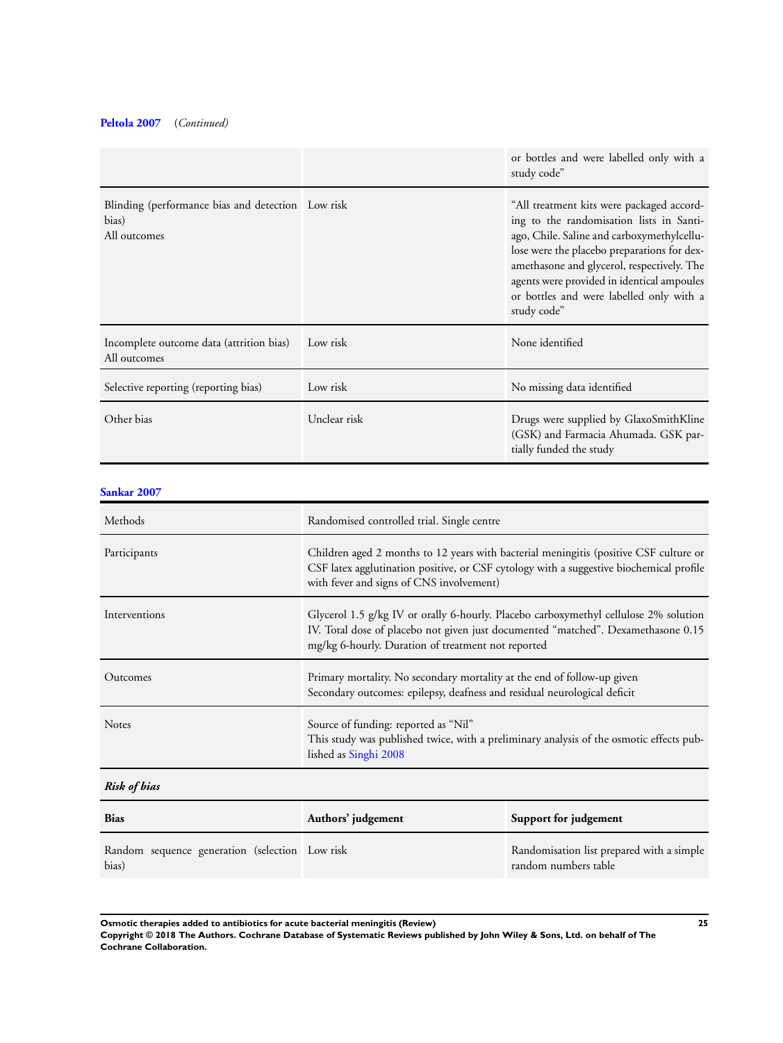# **[Peltola 2007](#page-18-0)** (*Continued)*

|                                                                            |              | or bottles and were labelled only with a<br>study code"                                                                                                                                                                                                                                                                                   |
|----------------------------------------------------------------------------|--------------|-------------------------------------------------------------------------------------------------------------------------------------------------------------------------------------------------------------------------------------------------------------------------------------------------------------------------------------------|
| Blinding (performance bias and detection Low risk<br>bias)<br>All outcomes |              | "All treatment kits were packaged accord-<br>ing to the randomisation lists in Santi-<br>ago, Chile. Saline and carboxymethylcellu-<br>lose were the placebo preparations for dex-<br>amethasone and glycerol, respectively. The<br>agents were provided in identical ampoules<br>or bottles and were labelled only with a<br>study code" |
| Incomplete outcome data (attrition bias)<br>All outcomes                   | Low risk     | None identified                                                                                                                                                                                                                                                                                                                           |
| Selective reporting (reporting bias)                                       | Low risk     | No missing data identified                                                                                                                                                                                                                                                                                                                |
| Other bias                                                                 | Unclear risk | Drugs were supplied by GlaxoSmithKline<br>(GSK) and Farmacia Ahumada. GSK par-<br>tially funded the study                                                                                                                                                                                                                                 |

# **[Sankar 2007](#page-18-0)**

| Methods             | Randomised controlled trial. Single centre                                                                                                                                                                                      |
|---------------------|---------------------------------------------------------------------------------------------------------------------------------------------------------------------------------------------------------------------------------|
| Participants        | Children aged 2 months to 12 years with bacterial meningitis (positive CSF culture or<br>CSF latex agglutination positive, or CSF cytology with a suggestive biochemical profile<br>with fever and signs of CNS involvement)    |
| Interventions       | Glycerol 1.5 g/kg IV or orally 6-hourly. Placebo carboxymethyl cellulose 2% solution<br>IV. Total dose of placebo not given just documented "matched". Dexamethasone 0.15<br>mg/kg 6-hourly. Duration of treatment not reported |
| Outcomes            | Primary mortality. No secondary mortality at the end of follow-up given<br>Secondary outcomes: epilepsy, deafness and residual neurological deficit                                                                             |
| <b>Notes</b>        | Source of funding: reported as "Nil"<br>This study was published twice, with a preliminary analysis of the osmotic effects pub-<br>lished as Singhi 2008                                                                        |
| <b>Risk of bias</b> |                                                                                                                                                                                                                                 |

| <b>Bias</b>                                             | Authors' judgement | Support for judgement                                             |
|---------------------------------------------------------|--------------------|-------------------------------------------------------------------|
| Random sequence generation (selection Low risk<br>bias) |                    | Randomisation list prepared with a simple<br>random numbers table |

**Osmotic therapies added to antibiotics for acute bacterial meningitis (Review) 25**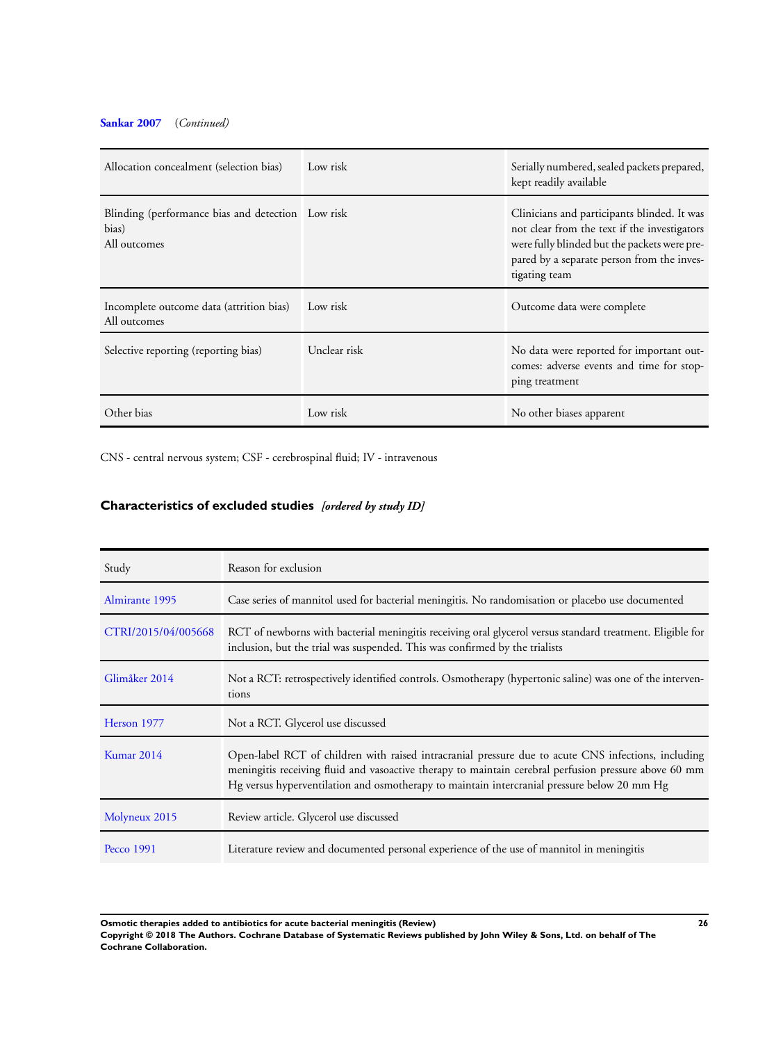# **[Sankar 2007](#page-18-0)** (*Continued)*

| Allocation concealment (selection bias)                                    | Low risk     | Serially numbered, sealed packets prepared,<br>kept readily available                                                                                                                                      |
|----------------------------------------------------------------------------|--------------|------------------------------------------------------------------------------------------------------------------------------------------------------------------------------------------------------------|
| Blinding (performance bias and detection Low risk<br>bias)<br>All outcomes |              | Clinicians and participants blinded. It was<br>not clear from the text if the investigators<br>were fully blinded but the packets were pre-<br>pared by a separate person from the inves-<br>tigating team |
| Incomplete outcome data (attrition bias)                                   | Low risk     | Outcome data were complete                                                                                                                                                                                 |
| All outcomes                                                               |              |                                                                                                                                                                                                            |
| Selective reporting (reporting bias)                                       | Unclear risk | No data were reported for important out-<br>comes: adverse events and time for stop-<br>ping treatment                                                                                                     |

CNS - central nervous system; CSF - cerebrospinal fluid; IV - intravenous

# **Characteristics of excluded studies** *[ordered by study ID]*

| Study               | Reason for exclusion                                                                                                                                                                                                                                                                                        |
|---------------------|-------------------------------------------------------------------------------------------------------------------------------------------------------------------------------------------------------------------------------------------------------------------------------------------------------------|
| Almirante 1995      | Case series of mannitol used for bacterial meningitis. No randomisation or placebo use documented                                                                                                                                                                                                           |
| CTRI/2015/04/005668 | RCT of newborns with bacterial meningitis receiving oral glycerol versus standard treatment. Eligible for<br>inclusion, but the trial was suspended. This was confirmed by the trialists                                                                                                                    |
| Glimåker 2014       | Not a RCT: retrospectively identified controls. Osmotherapy (hypertonic saline) was one of the interven-<br>tions                                                                                                                                                                                           |
| Herson 1977         | Not a RCT. Glycerol use discussed                                                                                                                                                                                                                                                                           |
| Kumar 2014          | Open-label RCT of children with raised intracranial pressure due to acute CNS infections, including<br>meningitis receiving fluid and vasoactive therapy to maintain cerebral perfusion pressure above 60 mm<br>Hg versus hyperventilation and osmotherapy to maintain intercranial pressure below 20 mm Hg |
| Molyneux 2015       | Review article. Glycerol use discussed                                                                                                                                                                                                                                                                      |
| Pecco 1991          | Literature review and documented personal experience of the use of mannitol in meningitis                                                                                                                                                                                                                   |

**Osmotic therapies added to antibiotics for acute bacterial meningitis (Review) 26**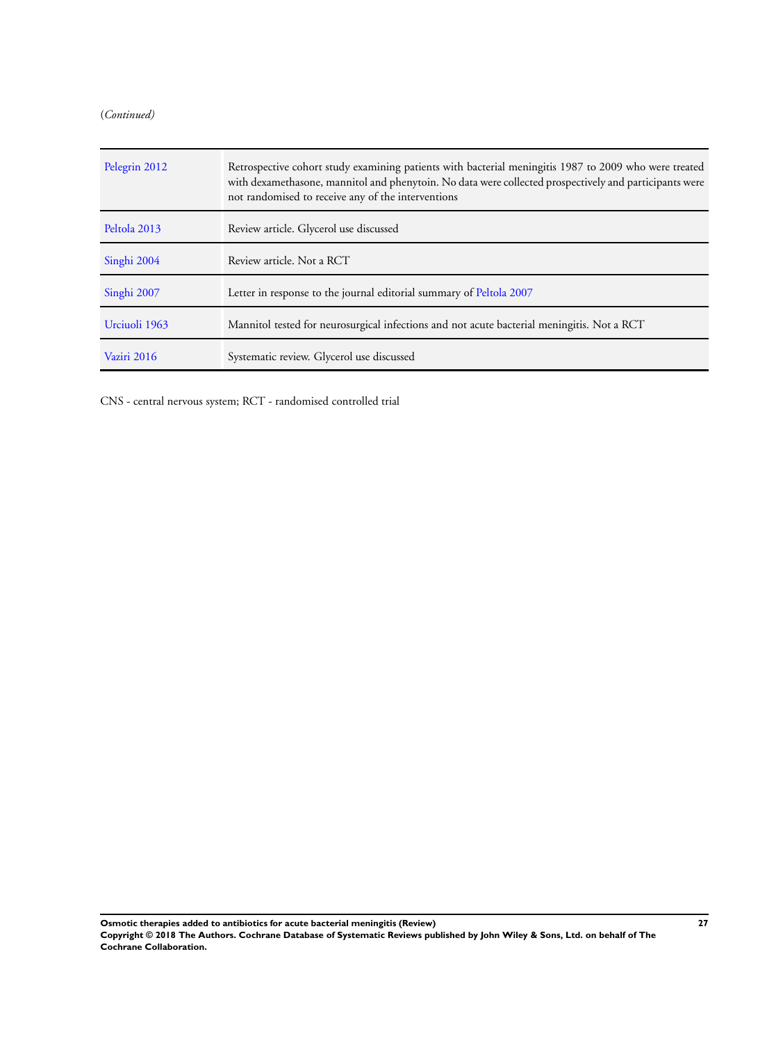(*Continued)*

| Pelegrin 2012 | Retrospective cohort study examining patients with bacterial meningitis 1987 to 2009 who were treated<br>with dexamethasone, mannitol and phenytoin. No data were collected prospectively and participants were<br>not randomised to receive any of the interventions |
|---------------|-----------------------------------------------------------------------------------------------------------------------------------------------------------------------------------------------------------------------------------------------------------------------|
| Peltola 2013  | Review article. Glycerol use discussed                                                                                                                                                                                                                                |
| Singhi 2004   | Review article. Not a RCT                                                                                                                                                                                                                                             |
| Singhi 2007   | Letter in response to the journal editorial summary of Peltola 2007                                                                                                                                                                                                   |
| Urciuoli 1963 | Mannitol tested for neurosurgical infections and not acute bacterial meningitis. Not a RCT                                                                                                                                                                            |
| Vaziri 2016   | Systematic review. Glycerol use discussed                                                                                                                                                                                                                             |

CNS - central nervous system; RCT - randomised controlled trial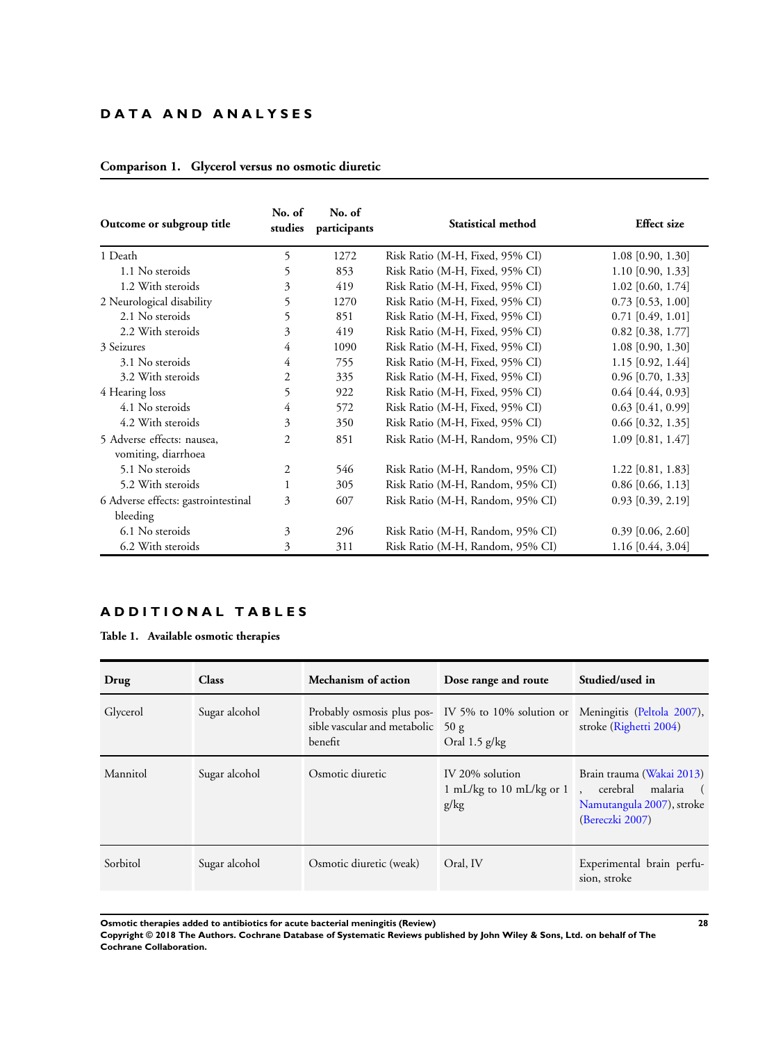# <span id="page-29-0"></span>**D A T A A N D A N A L Y S E S**

| Comparison 1. Glycerol versus no osmotic diuretic |  |  |  |  |
|---------------------------------------------------|--|--|--|--|
|---------------------------------------------------|--|--|--|--|

| Outcome or subgroup title                         | No. of<br>studies | No. of<br>participants | <b>Statistical method</b>        | <b>Effect</b> size  |
|---------------------------------------------------|-------------------|------------------------|----------------------------------|---------------------|
| 1 Death                                           | 5                 | 1272                   | Risk Ratio (M-H, Fixed, 95% CI)  | $1.08$ [0.90, 1.30] |
| 1.1 No steroids                                   | 5                 | 853                    | Risk Ratio (M-H, Fixed, 95% CI)  | $1.10$ [0.90, 1.33] |
| 1.2 With steroids                                 | 3                 | 419                    | Risk Ratio (M-H, Fixed, 95% CI)  | $1.02$ [0.60, 1.74] |
| 2 Neurological disability                         | 5                 | 1270                   | Risk Ratio (M-H, Fixed, 95% CI)  | $0.73$ [0.53, 1.00] |
| 2.1 No steroids                                   | 5                 | 851                    | Risk Ratio (M-H, Fixed, 95% CI)  | $0.71$ [0.49, 1.01] |
| 2.2 With steroids                                 | 3                 | 419                    | Risk Ratio (M-H, Fixed, 95% CI)  | $0.82$ [0.38, 1.77] |
| 3 Seizures                                        | 4                 | 1090                   | Risk Ratio (M-H, Fixed, 95% CI)  | $1.08$ [0.90, 1.30] |
| 3.1 No steroids                                   | 4                 | 755                    | Risk Ratio (M-H, Fixed, 95% CI)  | $1.15$ [0.92, 1.44] |
| 3.2 With steroids                                 | 2                 | 335                    | Risk Ratio (M-H, Fixed, 95% CI)  | $0.96$ [0.70, 1.33] |
| 4 Hearing loss                                    | 5                 | 922                    | Risk Ratio (M-H, Fixed, 95% CI)  | $0.64$ [0.44, 0.93] |
| 4.1 No steroids                                   | 4                 | 572                    | Risk Ratio (M-H, Fixed, 95% CI)  | $0.63$ [0.41, 0.99] |
| 4.2 With steroids                                 | 3                 | 350                    | Risk Ratio (M-H, Fixed, 95% CI)  | $0.66$ [0.32, 1.35] |
| 5 Adverse effects: nausea,<br>vomiting, diarrhoea | $\overline{2}$    | 851                    | Risk Ratio (M-H, Random, 95% CI) | $1.09$ [0.81, 1.47] |
| 5.1 No steroids                                   | $\overline{2}$    | 546                    | Risk Ratio (M-H, Random, 95% CI) | $1.22$ [0.81, 1.83] |
| 5.2 With steroids                                 | 1                 | 305                    | Risk Ratio (M-H, Random, 95% CI) | $0.86$ [0.66, 1.13] |
| 6 Adverse effects: gastrointestinal               | 3                 | 607                    | Risk Ratio (M-H, Random, 95% CI) | $0.93$ [0.39, 2.19] |
| bleeding                                          |                   |                        |                                  |                     |
| 6.1 No steroids                                   | 3                 | 296                    | Risk Ratio (M-H, Random, 95% CI) | $0.39$ [0.06, 2.60] |
| 6.2 With steroids                                 | 3                 | 311                    | Risk Ratio (M-H, Random, 95% CI) | 1.16 [0.44, 3.04]   |

# **A D D I T I O N A L T A B L E S**

**Table 1. Available osmotic therapies**

| Drug     | <b>Class</b>  | Mechanism of action                          | Dose range and route                                                   | Studied/used in                                                                                  |
|----------|---------------|----------------------------------------------|------------------------------------------------------------------------|--------------------------------------------------------------------------------------------------|
| Glycerol | Sugar alcohol | sible vascular and metabolic 50 g<br>benefit | Probably osmosis plus pos- IV 5% to 10% solution or<br>Oral $1.5$ g/kg | Meningitis (Peltola 2007),<br>stroke (Righetti 2004)                                             |
| Mannitol | Sugar alcohol | Osmotic diuretic                             | IV 20% solution<br>1 mL/kg to 10 mL/kg or $1 \,$ ,<br>g/kg             | Brain trauma (Wakai 2013)<br>cerebral<br>malaria<br>Namutangula 2007), stroke<br>(Bereczki 2007) |
| Sorbitol | Sugar alcohol | Osmotic diuretic (weak)                      | Oral, IV                                                               | Experimental brain perfu-<br>sion, stroke                                                        |

**Osmotic therapies added to antibiotics for acute bacterial meningitis (Review) 28**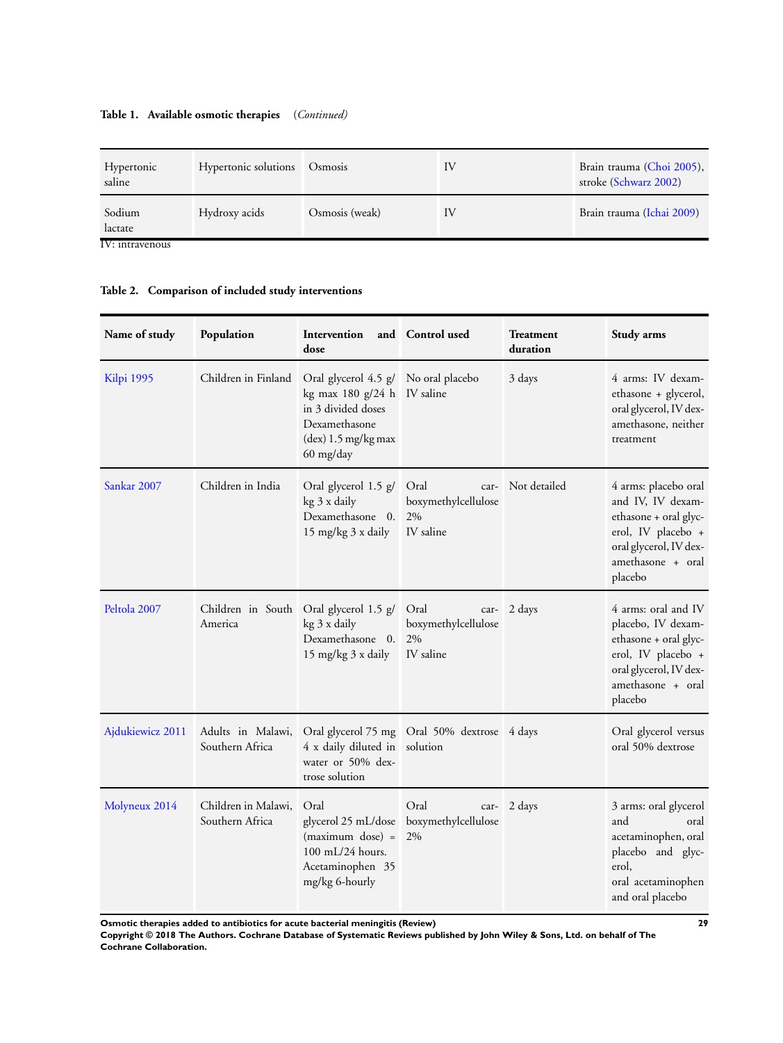# <span id="page-30-0"></span>**Table 1. Available osmotic therapies** (*Continued)*

| Hypertonic<br>saline | Hypertonic solutions | Osmosis        | IV | Brain trauma (Choi 2005),<br>stroke (Schwarz 2002) |
|----------------------|----------------------|----------------|----|----------------------------------------------------|
| Sodium<br>lactate    | Hydroxy acids        | Osmosis (weak) | IV | Brain trauma (Ichai 2009)                          |
| IV: intravenous      |                      |                |    |                                                    |

# **Table 2. Comparison of included study interventions**

| Name of study    | Population                             | Intervention<br>dose                                                                                                                                                   | and Control used                                       | <b>Treatment</b><br>duration | Study arms                                                                                                                                         |
|------------------|----------------------------------------|------------------------------------------------------------------------------------------------------------------------------------------------------------------------|--------------------------------------------------------|------------------------------|----------------------------------------------------------------------------------------------------------------------------------------------------|
| Kilpi 1995       |                                        | Children in Finland   Oral glycerol 4.5 g/ No oral placebo<br>kg max 180 g/24 h IV saline<br>in 3 divided doses<br>Dexamethasone<br>$(dex)$ 1.5 mg/kg max<br>60 mg/day |                                                        | 3 days                       | 4 arms: IV dexam-<br>ethasone + glycerol,<br>oral glycerol, IV dex-<br>amethasone, neither<br>treatment                                            |
| Sankar 2007      | Children in India                      | Oral glycerol 1.5 g/<br>kg 3 x daily<br>Dexamethasone 0.<br>15 mg/kg 3 x daily                                                                                         | Oral<br>car-<br>boxymethylcellulose<br>2%<br>IV saline | Not detailed                 | 4 arms: placebo oral<br>and IV, IV dexam-<br>ethasone + oral glyc-<br>erol, IV placebo +<br>oral glycerol, IV dex-<br>amethasone + oral<br>placebo |
| Peltola 2007     | America                                | Children in South Oral glycerol 1.5 g/<br>kg 3 x daily<br>Dexamethasone 0.<br>15 mg/kg $3 \times$ daily                                                                | Oral<br>car-<br>boxymethylcellulose<br>2%<br>IV saline | 2 days                       | 4 arms: oral and IV<br>placebo, IV dexam-<br>ethasone + oral glyc-<br>erol, IV placebo +<br>oral glycerol, IV dex-<br>amethasone + oral<br>placebo |
| Ajdukiewicz 2011 | Adults in Malawi,<br>Southern Africa   | 4 x daily diluted in solution<br>water or 50% dex-<br>trose solution                                                                                                   | Oral glycerol 75 mg   Oral 50% dextrose   4 days       |                              | Oral glycerol versus<br>oral 50% dextrose                                                                                                          |
| Molyneux 2014    | Children in Malawi,<br>Southern Africa | Oral<br>glycerol 25 mL/dose<br>$(maximum$ dose) =<br>$100 \text{ mL}/24$ hours.<br>Acetaminophen 35<br>mg/kg 6-hourly                                                  | Oral<br>car-<br>boxymethylcellulose<br>2%              | 2 days                       | 3 arms: oral glycerol<br>and<br>oral<br>acetaminophen, oral<br>placebo and glyc-<br>erol.<br>oral acetaminophen<br>and oral placebo                |

**Osmotic therapies added to antibiotics for acute bacterial meningitis (Review) 29**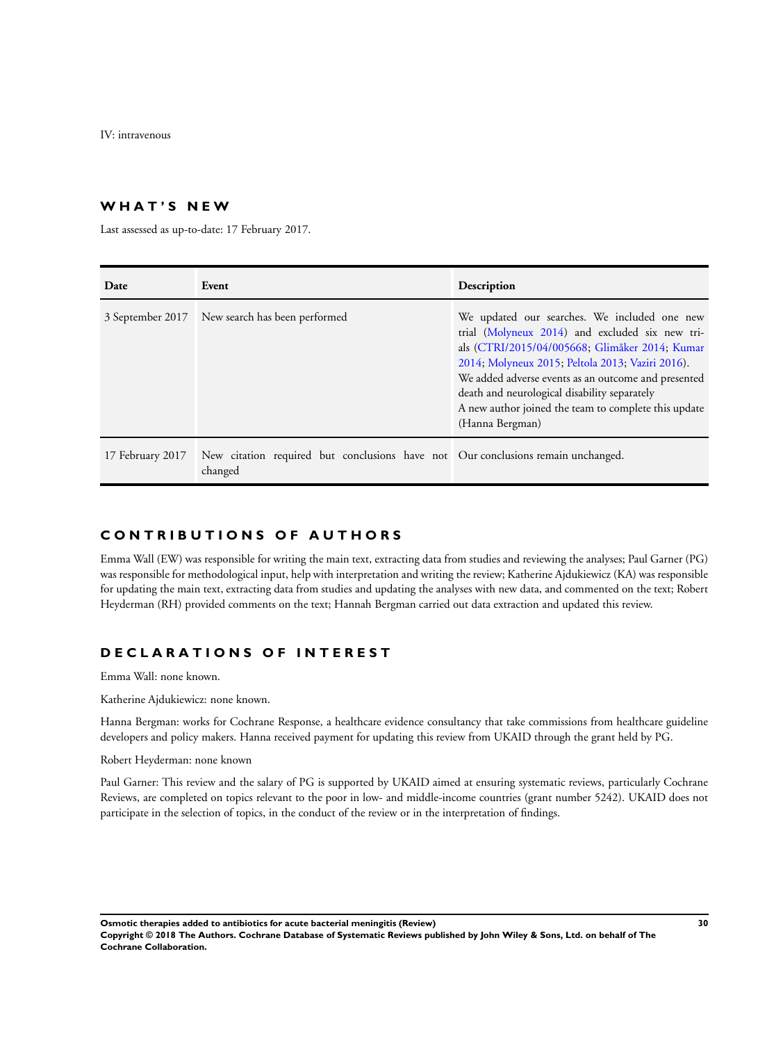IV: intravenous

# **W H A T ' S N E W**

Last assessed as up-to-date: 17 February 2017.

| Date             | Event                                                                                       | Description                                                                                                                                                                                                                                                                                                                                                                             |
|------------------|---------------------------------------------------------------------------------------------|-----------------------------------------------------------------------------------------------------------------------------------------------------------------------------------------------------------------------------------------------------------------------------------------------------------------------------------------------------------------------------------------|
|                  | 3 September 2017 New search has been performed                                              | We updated our searches. We included one new<br>trial (Molyneux 2014) and excluded six new tri-<br>als (CTRI/2015/04/005668; Glimåker 2014; Kumar<br>2014; Molyneux 2015; Peltola 2013; Vaziri 2016).<br>We added adverse events as an outcome and presented<br>death and neurological disability separately<br>A new author joined the team to complete this update<br>(Hanna Bergman) |
| 17 February 2017 | New citation required but conclusions have not Our conclusions remain unchanged.<br>changed |                                                                                                                                                                                                                                                                                                                                                                                         |

# **C O N T R I B U T I O N S O F A U T H O R S**

Emma Wall (EW) was responsible for writing the main text, extracting data from studies and reviewing the analyses; Paul Garner (PG) was responsible for methodological input, help with interpretation and writing the review; Katherine Ajdukiewicz (KA) was responsible for updating the main text, extracting data from studies and updating the analyses with new data, and commented on the text; Robert Heyderman (RH) provided comments on the text; Hannah Bergman carried out data extraction and updated this review.

# **D E C L A R A T I O N S O F I N T E R E S T**

Emma Wall: none known.

Katherine Ajdukiewicz: none known.

Hanna Bergman: works for Cochrane Response, a healthcare evidence consultancy that take commissions from healthcare guideline developers and policy makers. Hanna received payment for updating this review from UKAID through the grant held by PG.

Robert Heyderman: none known

Paul Garner: This review and the salary of PG is supported by UKAID aimed at ensuring systematic reviews, particularly Cochrane Reviews, are completed on topics relevant to the poor in low- and middle-income countries (grant number 5242). UKAID does not participate in the selection of topics, in the conduct of the review or in the interpretation of findings.

**Osmotic therapies added to antibiotics for acute bacterial meningitis (Review) 30**